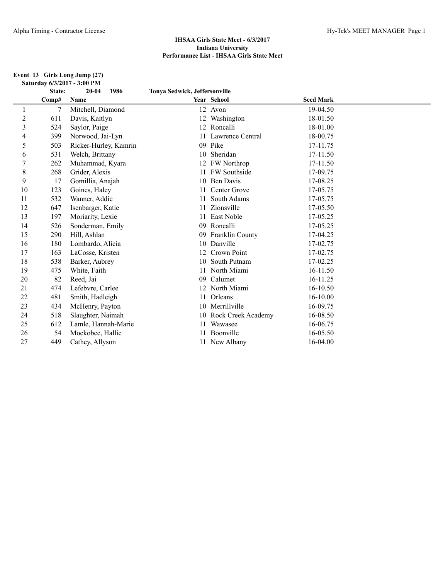#### **Event 13 Girls Long Jump (27) Saturday 6/3/2017 - 3:00 PM**

|    | State: | $20 - 04$<br>1986     | Tonya Sedwick, Jeffersonville |                        |                  |  |
|----|--------|-----------------------|-------------------------------|------------------------|------------------|--|
|    | Comp#  | Name                  |                               | Year School            | <b>Seed Mark</b> |  |
| 1  | 7      | Mitchell, Diamond     |                               | 12 Avon                | 19-04.50         |  |
| 2  | 611    | Davis, Kaitlyn        | 12                            | Washington             | 18-01.50         |  |
| 3  | 524    | Saylor, Paige         |                               | 12 Roncalli            | 18-01.00         |  |
| 4  | 399    | Norwood, Jai-Lyn      |                               | Lawrence Central       | 18-00.75         |  |
| 5  | 503    | Ricker-Hurley, Kamrin | 09                            | Pike                   | 17-11.75         |  |
| 6  | 531    | Welch, Brittany       | 10                            | Sheridan               | 17-11.50         |  |
| 7  | 262    | Muhammad, Kyara       | 12                            | <b>FW</b> Northrop     | 17-11.50         |  |
| 8  | 268    | Grider, Alexis        |                               | 11 FW Southside        | 17-09.75         |  |
| 9  | 17     | Gomillia, Anajah      | 10                            | Ben Davis              | 17-08.25         |  |
| 10 | 123    | Goines, Haley         |                               | Center Grove           | 17-05.75         |  |
| 11 | 532    | Wanner, Addie         |                               | South Adams            | 17-05.75         |  |
| 12 | 647    | Isenbarger, Katie     |                               | Zionsville             | 17-05.50         |  |
| 13 | 197    | Moriarity, Lexie      |                               | <b>East Noble</b>      | 17-05.25         |  |
| 14 | 526    | Sonderman, Emily      | 09                            | Roncalli               | 17-05.25         |  |
| 15 | 290    | Hill, Ashlan          | 09                            | <b>Franklin County</b> | 17-04.25         |  |
| 16 | 180    | Lombardo, Alicia      | 10                            | Danville               | 17-02.75         |  |
| 17 | 163    | LaCosse, Kristen      | 12                            | Crown Point            | 17-02.75         |  |
| 18 | 538    | Barker, Aubrey        | 10                            | South Putnam           | 17-02.25         |  |
| 19 | 475    | White, Faith          | 11                            | North Miami            | 16-11.50         |  |
| 20 | 82     | Reed, Jai             | 09                            | Calumet                | 16-11.25         |  |
| 21 | 474    | Lefebvre, Carlee      |                               | North Miami            | 16-10.50         |  |
| 22 | 481    | Smith, Hadleigh       | 11                            | Orleans                | 16-10.00         |  |
| 23 | 434    | McHenry, Payton       |                               | 10 Merrillville        | 16-09.75         |  |
| 24 | 518    | Slaughter, Naimah     | 10                            | Rock Creek Academy     | 16-08.50         |  |
| 25 | 612    | Lamle, Hannah-Marie   |                               | Wawasee                | 16-06.75         |  |
| 26 | 54     | Mockobee, Hallie      |                               | Boonville              | 16-05.50         |  |
| 27 | 449    | Cathey, Allyson       |                               | 11 New Albany          | 16-04.00         |  |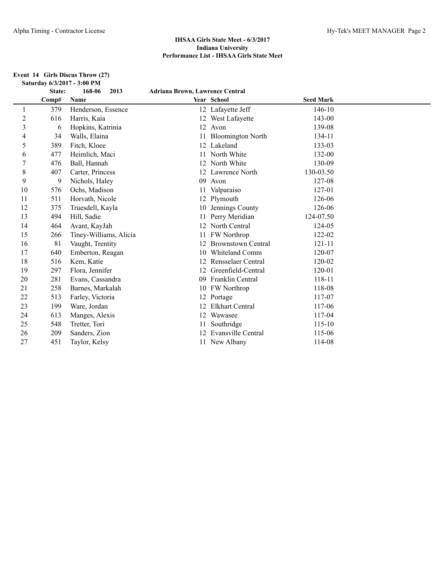#### **Event 14 Girls Discus Throw (27) Saturday 6/3/2017 - 3:00 PM**

|                | State: | 168-06<br>2013         | <b>Adriana Brown, Lawrence Central</b> |                           |                  |  |
|----------------|--------|------------------------|----------------------------------------|---------------------------|------------------|--|
|                | Comp#  | Name                   |                                        | Year School               | <b>Seed Mark</b> |  |
| 1              | 379    | Henderson, Essence     |                                        | 12 Lafayette Jeff         | 146-10           |  |
| $\overline{c}$ | 616    | Harris, Kaia           |                                        | 12 West Lafayette         | 143-00           |  |
| 3              | 6      | Hopkins, Katrinia      |                                        | 12 Avon                   | 139-08           |  |
| 4              | 34     | Walls, Elaina          |                                        | 11 Bloomington North      | 134-11           |  |
| 5              | 389    | Fitch, Kloee           |                                        | 12 Lakeland               | 133-03           |  |
| 6              | 477    | Heimlich, Maci         |                                        | 11 North White            | 132-00           |  |
| 7              | 476    | Ball, Hannah           |                                        | 12 North White            | 130-09           |  |
| 8              | 407    | Carter, Princess       |                                        | 12 Lawrence North         | 130-03.50        |  |
| 9              | 9      | Nichols, Haley         | 09                                     | Avon                      | 127-08           |  |
| 10             | 576    | Ochs, Madison          | 11                                     | Valparaiso                | 127-01           |  |
| 11             | 511    | Horvath, Nicole        |                                        | 12 Plymouth               | 126-06           |  |
| 12             | 375    | Truesdell, Kayla       |                                        | 10 Jennings County        | 126-06           |  |
| 13             | 494    | Hill, Sadie            |                                        | Perry Meridian            | 124-07.50        |  |
| 14             | 464    | Avant, KayJah          | 12                                     | North Central             | 124-05           |  |
| 15             | 266    | Tiney-Williams, Alicia | 11                                     | FW Northrop               | 122-02           |  |
| 16             | 81     | Vaught, Trentity       | 12                                     | <b>Brownstown Central</b> | $121 - 11$       |  |
| 17             | 640    | Emberton, Reagan       | 10                                     | Whiteland Comm            | 120-07           |  |
| 18             | 516    | Kem, Katie             | 12                                     | Rensselaer Central        | 120-02           |  |
| 19             | 297    | Flora, Jennifer        | 12                                     | Greenfield-Central        | 120-01           |  |
| 20             | 281    | Evans, Cassandra       | 09                                     | Franklin Central          | 118-11           |  |
| 21             | 258    | Barnes, Markalah       |                                        | 10 FW Northrop            | 118-08           |  |
| 22             | 513    | Farley, Victoria       |                                        | 12 Portage                | 117-07           |  |
| 23             | 199    | Ware, Jordan           |                                        | <b>Elkhart Central</b>    | 117-06           |  |
| 24             | 613    | Manges, Alexis         |                                        | 12 Wawasee                | 117-04           |  |
| 25             | 548    | Tretter, Tori          |                                        | Southridge                | $115 - 10$       |  |
| 26             | 209    | Sanders, Zion          |                                        | 12 Evansville Central     | 115-06           |  |
| 27             | 451    | Taylor, Kelsy          |                                        | 11 New Albany             | 114-08           |  |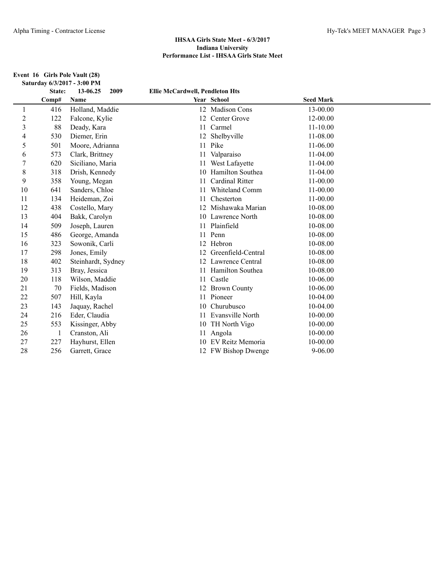|                | State: | 13-06.25<br>2009   | <b>Ellie McCardwell, Pendleton Hts</b> |                     |                  |
|----------------|--------|--------------------|----------------------------------------|---------------------|------------------|
|                | Comp#  | Name               |                                        | Year School         | <b>Seed Mark</b> |
| 1              | 416    | Holland, Maddie    |                                        | 12 Madison Cons     | 13-00.00         |
| $\overline{c}$ | 122    | Falcone, Kylie     |                                        | 12 Center Grove     | 12-00.00         |
| 3              | 88     | Deady, Kara        | 11                                     | Carmel              | $11 - 10.00$     |
| 4              | 530    | Diemer, Erin       | 12                                     | Shelbyville         | 11-08.00         |
| 5              | 501    | Moore, Adrianna    | 11                                     | Pike                | 11-06.00         |
| 6              | 573    | Clark, Brittney    |                                        | 11 Valparaiso       | 11-04.00         |
| 7              | 620    | Siciliano, Maria   |                                        | 11 West Lafayette   | 11-04.00         |
| 8              | 318    | Drish, Kennedy     | 10                                     | Hamilton Southea    | $11-04.00$       |
| 9              | 358    | Young, Megan       |                                        | Cardinal Ritter     | $11 - 00.00$     |
| 10             | 641    | Sanders, Chloe     |                                        | Whiteland Comm      | 11-00.00         |
| 11             | 134    | Heideman, Zoi      | 11                                     | Chesterton          | $11 - 00.00$     |
| 12             | 438    | Costello, Mary     | 12                                     | Mishawaka Marian    | 10-08.00         |
| 13             | 404    | Bakk, Carolyn      |                                        | 10 Lawrence North   | 10-08.00         |
| 14             | 509    | Joseph, Lauren     |                                        | 11 Plainfield       | 10-08.00         |
| 15             | 486    | George, Amanda     | 11                                     | Penn                | 10-08.00         |
| 16             | 323    | Sowonik, Carli     |                                        | 12 Hebron           | 10-08.00         |
| 17             | 298    | Jones, Emily       | 12                                     | Greenfield-Central  | 10-08.00         |
| 18             | 402    | Steinhardt, Sydney |                                        | 12 Lawrence Central | 10-08.00         |
| 19             | 313    | Bray, Jessica      | 11                                     | Hamilton Southea    | 10-08.00         |
| 20             | 118    | Wilson, Maddie     |                                        | 11 Castle           | 10-06.00         |
| 21             | 70     | Fields, Madison    |                                        | 12 Brown County     | 10-06.00         |
| 22             | 507    | Hill, Kayla        |                                        | 11 Pioneer          | 10-04.00         |
| 23             | 143    | Jaquay, Rachel     | 10                                     | Churubusco          | 10-04.00         |
| 24             | 216    | Eder, Claudia      |                                        | 11 Evansville North | $10 - 00.00$     |
| 25             | 553    | Kissinger, Abby    |                                        | 10 TH North Vigo    | 10-00.00         |
| 26             | -1     | Cranston, Ali      | 11                                     | Angola              | 10-00.00         |
| 27             | 227    | Hayhurst, Ellen    |                                        | 10 EV Reitz Memoria | 10-00.00         |
| 28             | 256    | Garrett, Grace     |                                        | 12 FW Bishop Dwenge | $9 - 06.00$      |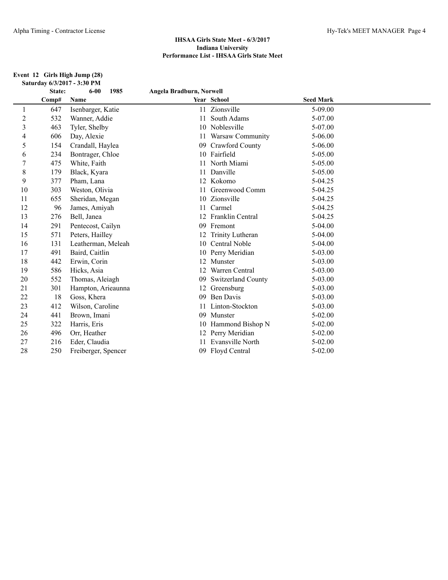#### **Event 12 Girls High Jump (28) Saturday 6/3/2017 - 3:30 PM**

|                | State: | $6 - 00$<br>1985    | Angela Bradburn, Norwell |                     |                  |  |
|----------------|--------|---------------------|--------------------------|---------------------|------------------|--|
|                | Comp#  | Name                |                          | Year School         | <b>Seed Mark</b> |  |
| 1              | 647    | Isenbarger, Katie   | 11                       | Zionsville          | 5-09.00          |  |
| $\overline{c}$ | 532    | Wanner, Addie       | 11                       | South Adams         | 5-07.00          |  |
| 3              | 463    | Tyler, Shelby       |                          | 10 Noblesville      | 5-07.00          |  |
| 4              | 606    | Day, Alexie         | 11                       | Warsaw Community    | $5 - 06.00$      |  |
| 5              | 154    | Crandall, Haylea    | 09                       | Crawford County     | $5 - 06.00$      |  |
| 6              | 234    | Bontrager, Chloe    | 10                       | Fairfield           | 5-05.00          |  |
| 7              | 475    | White, Faith        |                          | North Miami         | 5-05.00          |  |
| 8              | 179    | Black, Kyara        | 11                       | Danville            | 5-05.00          |  |
| 9              | 377    | Pham, Lana          |                          | 12 Kokomo           | 5-04.25          |  |
| 10             | 303    | Weston, Olivia      |                          | Greenwood Comm      | 5-04.25          |  |
| 11             | 655    | Sheridan, Megan     | 10                       | Zionsville          | 5-04.25          |  |
| 12             | 96     | James, Amiyah       | 11                       | Carmel              | 5-04.25          |  |
| 13             | 276    | Bell, Janea         | 12                       | Franklin Central    | 5-04.25          |  |
| 14             | 291    | Pentecost, Cailyn   | 09                       | Fremont             | $5-04.00$        |  |
| 15             | 571    | Peters, Hailley     |                          | Trinity Lutheran    | $5-04.00$        |  |
| 16             | 131    | Leatherman, Meleah  | 10                       | Central Noble       | 5-04.00          |  |
| 17             | 491    | Baird, Caitlin      |                          | 10 Perry Meridian   | $5 - 03.00$      |  |
| 18             | 442    | Erwin, Corin        | 12                       | Munster             | 5-03.00          |  |
| 19             | 586    | Hicks, Asia         | 12                       | Warren Central      | $5 - 03.00$      |  |
| 20             | 552    | Thomas, Aleiagh     | 09                       | Switzerland County  | $5 - 03.00$      |  |
| 21             | 301    | Hampton, Arieaunna  | 12                       | Greensburg          | $5 - 03.00$      |  |
| 22             | 18     | Goss, Khera         | 09                       | <b>Ben Davis</b>    | 5-03.00          |  |
| 23             | 412    | Wilson, Caroline    |                          | Linton-Stockton     | $5 - 03.00$      |  |
| 24             | 441    | Brown, Imani        | 09                       | Munster             | $5 - 02.00$      |  |
| 25             | 322    | Harris, Eris        |                          | 10 Hammond Bishop N | $5 - 02.00$      |  |
| 26             | 496    | Orr, Heather        | 12                       | Perry Meridian      | $5 - 02.00$      |  |
| 27             | 216    | Eder, Claudia       |                          | Evansville North    | $5 - 02.00$      |  |
| 28             | 250    | Freiberger, Spencer |                          | 09 Floyd Central    | $5 - 02.00$      |  |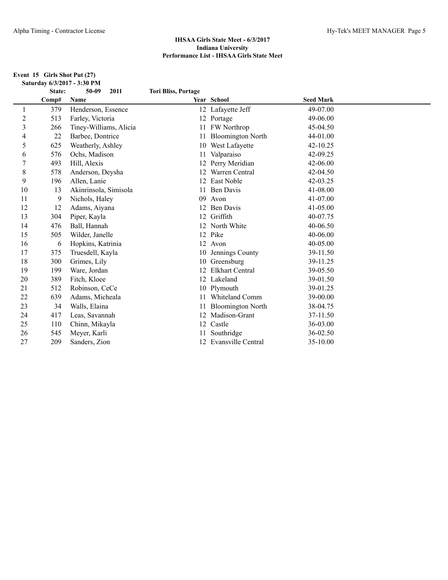#### **Event 15 Girls Shot Put (27) Saturday 6/3/2017 - 3:30 PM**

|                | State: | 50-09<br>2011          | <b>Tori Bliss, Portage</b> |                          |                  |  |
|----------------|--------|------------------------|----------------------------|--------------------------|------------------|--|
|                | Comp#  | Name                   |                            | Year School              | <b>Seed Mark</b> |  |
| 1              | 379    | Henderson, Essence     |                            | 12 Lafayette Jeff        | 49-07.00         |  |
| $\overline{c}$ | 513    | Farley, Victoria       |                            | 12 Portage               | 49-06.00         |  |
| 3              | 266    | Tiney-Williams, Alicia | 11                         | <b>FW</b> Northrop       | 45-04.50         |  |
| 4              | 22     | Barbee, Dontrice       | 11                         | <b>Bloomington North</b> | 44-01.00         |  |
| 5              | 625    | Weatherly, Ashley      | 10                         | West Lafayette           | $42 - 10.25$     |  |
| 6              | 576    | Ochs, Madison          | 11                         | Valparaiso               | 42-09.25         |  |
| $\overline{7}$ | 493    | Hill, Alexis           | 12                         | Perry Meridian           | 42-06.00         |  |
| $\,$ $\,$      | 578    | Anderson, Deysha       | 12                         | Warren Central           | $42 - 04.50$     |  |
| 9              | 196    | Allen, Lanie           | 12 <sub>1</sub>            | East Noble               | 42-03.25         |  |
| 10             | 13     | Akinrinsola, Simisola  | 11                         | <b>Ben Davis</b>         | 41-08.00         |  |
| 11             | 9      | Nichols, Haley         | 09                         | Avon                     | 41-07.00         |  |
| 12             | 12     | Adams, Aiyana          | 12                         | Ben Davis                | 41-05.00         |  |
| 13             | 304    | Piper, Kayla           | 12                         | Griffith                 | 40-07.75         |  |
| 14             | 476    | Ball, Hannah           |                            | 12 North White           | 40-06.50         |  |
| 15             | 505    | Wilder, Janelle        |                            | 12 Pike                  | 40-06.00         |  |
| 16             | 6      | Hopkins, Katrinia      |                            | 12 Avon                  | 40-05.00         |  |
| 17             | 375    | Truesdell, Kayla       | 10                         | Jennings County          | 39-11.50         |  |
| 18             | 300    | Grimes, Lily           | 10                         | Greensburg               | 39-11.25         |  |
| 19             | 199    | Ware, Jordan           | 12                         | <b>Elkhart Central</b>   | 39-05.50         |  |
| 20             | 389    | Fitch, Kloee           |                            | 12 Lakeland              | 39-01.50         |  |
| 21             | 512    | Robinson, CeCe         | 10                         | Plymouth                 | 39-01.25         |  |
| 22             | 639    | Adams, Micheala        |                            | Whiteland Comm           | 39-00.00         |  |
| 23             | 34     | Walls, Elaina          |                            | <b>Bloomington North</b> | 38-04.75         |  |
| 24             | 417    | Leas, Savannah         | 12                         | Madison-Grant            | 37-11.50         |  |
| 25             | 110    | Chinn, Mikayla         |                            | 12 Castle                | 36-03.00         |  |
| 26             | 545    | Meyer, Karli           |                            | Southridge               | 36-02.50         |  |
| 27             | 209    | Sanders, Zion          |                            | 12 Evansville Central    | 35-10.00         |  |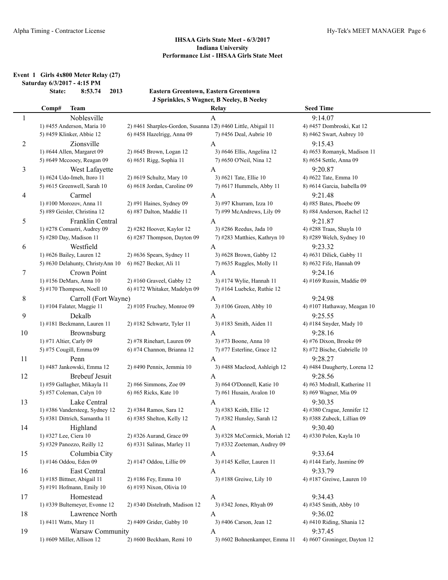**Event 1 Girls 4x800 Meter Relay (27) Saturday 6/3/2017 - 4:15 PM**

**State: 8:53.74 2013 Eastern Greentown, Eastern Greentown J Sprinkles, S Wagner, B Neeley, B Neeley**

| 9:14.07<br>Noblesville<br>$\mathbf{1}$<br>A<br>2) #461 Sharples-Gordon, Susanna 123) #460 Little, Abigail 11<br>1) #455 Anderson, Maria 10<br>4) #457 Dombroski, Kat 12<br>6) #458 Hazelrigg, Anna 09<br>5) #459 Klinker, Abbie 12<br>7) #456 Deal, Aubrie 10<br>8) #462 Swart, Aubrey 10<br>$\overline{c}$<br>Zionsville<br>9:15.43<br>A<br>1) #644 Allen, Margaret 09<br>2) #645 Brown, Logan 12<br>3) #646 Ellis, Angelina 12<br>4) #653 Romanyk, Madison 11<br>5) #649 Mccooey, Reagan 09<br>6) #651 Rigg, Sophia 11<br>7) #650 O'Neil, Nina 12<br>8) #654 Settle, Anna 09<br>9:20.87<br>3<br>West Lafayette<br>A<br>1) #624 Udo-Imeh, Itoro 11<br>2) #619 Schultz, Mary 10<br>3) #621 Tate, Ellie 10<br>4) #622 Tate, Emma 10<br>5) #615 Greenwell, Sarah 10<br>6) #618 Jordan, Caroline 09<br>7) #617 Hummels, Abby 11<br>8) #614 Garcia, Isabella 09<br>9:21.48<br>Carmel<br>4<br>A<br>1) #100 Morozov, Anna 11<br>2) #91 Haines, Sydney 09<br>3) #97 Khurram, Izza 10<br>4) #85 Bates, Phoebe 09<br>5) #89 Geisler, Christina 12<br>6) #87 Dalton, Maddie 11<br>7) #99 McAndrews, Lily 09<br>8) #84 Anderson, Rachel 12<br>5<br>Franklin Central<br>9:21.87<br>A<br>1) #278 Comastri, Audrey 09<br>3) #286 Reedus, Jada 10<br>4) #288 Traas, Shayla 10<br>2) #282 Hoover, Kaylor 12<br>6) #287 Thompson, Dayton 09<br>5) #280 Day, Madison 11<br>7) #283 Matthies, Kathryn 10<br>8) #289 Welch, Sydney 10<br>6<br>Westfield<br>9:23.32<br>$\mathbf{A}$<br>1) #626 Bailey, Lauren 12<br>2) #636 Spears, Sydney 11<br>3) #628 Brown, Gabby 12<br>4) #631 Dilick, Gabby 11<br>5) #630 Delahunty, ChristyAnn 10<br>6) #627 Becker, Ali 11<br>8) #632 Fife, Hannah 09<br>7) #635 Ruggles, Molly 11<br>7<br>Crown Point<br>9:24.16<br>$\mathbf{A}$<br>3) #174 Wylie, Hannah 11<br>1) #156 DeMars, Anna 10<br>$2)$ #160 Graveel, Gabby 12<br>4) #169 Russin, Maddie 09<br>6) #172 Whitaker, Madelyn 09<br>5) #170 Thompson, Noell $10$<br>7) #164 Luebcke, Ruthie $12$<br>8<br>9:24.98<br>Carroll (Fort Wayne)<br>$\mathbf{A}$<br>1) #104 Falater, Maggie 11<br>2) #105 Fruchey, Monroe 09<br>3) #106 Green, Abby 10<br>4) #107 Hathaway, Meagan 10<br>9<br>Dekalb<br>9:25.55<br>$\mathbf{A}$<br>1) #181 Beckmann, Lauren 11<br>2) #182 Schwartz, Tyler 11<br>3) #183 Smith, Aiden 11<br>4) #184 Snyder, Mady 10<br>9:28.16<br>10<br>Brownsburg<br>$\mathbf{A}$<br>2) #78 Rinehart, Lauren 09<br>3) #73 Boone, Anna 10<br>4) #76 Dixon, Brooke 09<br>1) #71 Altier, Carly 09<br>6) #74 Channon, Brianna 12<br>5) #75 Cougill, Emma 09<br>7) #77 Esterline, Grace 12<br>8) #72 Bische, Gabrielle 10<br>9:28.27<br>11<br>Penn<br>A<br>1) #487 Jankowski, Emma 12<br>2) #490 Pennix, Jemmia 10<br>3) #488 Macleod, Ashleigh 12<br>4) #484 Daugherty, Lorena 12<br><b>Brebeuf Jesuit</b><br>9:28.56<br>12<br>A<br>2) #66 Simmons, Zoe 09<br>3) #64 O'Donnell, Katie 10<br>4) #63 Modrall, Katherine 11<br>1) #59 Gallagher, Mikayla 11<br>5) #57 Coleman, Calyn 10<br>6) #65 Ricks, Kate 10<br>$7)$ #61 Husain, Avalon 10<br>8) #69 Wagner, Mia 09<br>9:30.35<br>13<br>Lake Central<br>A<br>1) #386 Vandersteeg, Sydney 12<br>2) #384 Ramos, Sara 12<br>3) #383 Keith, Ellie 12<br>4) #380 Crague, Jennifer 12<br>5) #381 Dittrich, Samantha 11<br>6) #385 Shelton, Kelly 12<br>7) #382 Hunsley, Sarah 12<br>8) #388 Zubeck, Lillian 09<br>9:30.40<br>Highland<br>14<br>A<br>1) #327 Lee, Ciera 10<br>2) #326 Aurand, Grace 09<br>3) #328 McCormick, Moriah 12<br>4) #330 Polen, Kayla 10<br>6) #331 Salinas, Marley 11<br>7) #332 Zoeteman, Audrey 09<br>5) #329 Panozzo, Reilly 12<br>15<br>Columbia City<br>9:33.64<br>A<br>1) #146 Oddou, Eden 09<br>2) #147 Oddou, Lillie 09<br>3) #145 Keller, Lauren 11<br>4) #144 Early, Jasmine 09<br>16<br>East Central<br>9:33.79<br>A<br>1) #185 Bittner, Abigail 11<br>2) #186 Fey, Emma 10<br>3) #188 Greiwe, Lily 10<br>4) #187 Greiwe, Lauren 10<br>5) #191 Hofmann, Emily 10<br>6) #193 Nixon, Olivia 10<br>9:34.43<br>Homestead<br>$\mathbf{A}$<br>17<br>1) #339 Bultemeyer, Evonne 12<br>2) #340 Distelrath, Madison 12<br>3) #342 Jones, Rhyah 09<br>4) #345 Smith, Abby 10<br>9:36.02<br>18<br>Lawrence North<br>A<br>3) #406 Carson, Jean 12<br>4) #410 Riding, Shania 12<br>1) #411 Watts, Mary 11<br>2) #409 Grider, Gabby 10<br>19<br>9:37.45<br>Warsaw Community<br>A<br>1) #609 Miller, Allison 12<br>2) #600 Beckham, Remi 10<br>3) #602 Bohnenkamper, Emma 11<br>4) #607 Groninger, Dayton 12 | Comp# | <b>Team</b> | Relay | <b>Seed Time</b> |
|---------------------------------------------------------------------------------------------------------------------------------------------------------------------------------------------------------------------------------------------------------------------------------------------------------------------------------------------------------------------------------------------------------------------------------------------------------------------------------------------------------------------------------------------------------------------------------------------------------------------------------------------------------------------------------------------------------------------------------------------------------------------------------------------------------------------------------------------------------------------------------------------------------------------------------------------------------------------------------------------------------------------------------------------------------------------------------------------------------------------------------------------------------------------------------------------------------------------------------------------------------------------------------------------------------------------------------------------------------------------------------------------------------------------------------------------------------------------------------------------------------------------------------------------------------------------------------------------------------------------------------------------------------------------------------------------------------------------------------------------------------------------------------------------------------------------------------------------------------------------------------------------------------------------------------------------------------------------------------------------------------------------------------------------------------------------------------------------------------------------------------------------------------------------------------------------------------------------------------------------------------------------------------------------------------------------------------------------------------------------------------------------------------------------------------------------------------------------------------------------------------------------------------------------------------------------------------------------------------------------------------------------------------------------------------------------------------------------------------------------------------------------------------------------------------------------------------------------------------------------------------------------------------------------------------------------------------------------------------------------------------------------------------------------------------------------------------------------------------------------------------------------------------------------------------------------------------------------------------------------------------------------------------------------------------------------------------------------------------------------------------------------------------------------------------------------------------------------------------------------------------------------------------------------------------------------------------------------------------------------------------------------------------------------------------------------------------------------------------------------------------------------------------------------------------------------------------------------------------------------------------------------------------------------------------------------------------------------------------------------------------------------------------------------------------------------------------------------------------------------------------------------------------------------------------------------------------------------------------------------------------------------------------------------------------------------------------------------------------------------------------------------------------------------------------------------------------|-------|-------------|-------|------------------|
|                                                                                                                                                                                                                                                                                                                                                                                                                                                                                                                                                                                                                                                                                                                                                                                                                                                                                                                                                                                                                                                                                                                                                                                                                                                                                                                                                                                                                                                                                                                                                                                                                                                                                                                                                                                                                                                                                                                                                                                                                                                                                                                                                                                                                                                                                                                                                                                                                                                                                                                                                                                                                                                                                                                                                                                                                                                                                                                                                                                                                                                                                                                                                                                                                                                                                                                                                                                                                                                                                                                                                                                                                                                                                                                                                                                                                                                                                                                                                                                                                                                                                                                                                                                                                                                                                                                                                                                                                                                         |       |             |       |                  |
|                                                                                                                                                                                                                                                                                                                                                                                                                                                                                                                                                                                                                                                                                                                                                                                                                                                                                                                                                                                                                                                                                                                                                                                                                                                                                                                                                                                                                                                                                                                                                                                                                                                                                                                                                                                                                                                                                                                                                                                                                                                                                                                                                                                                                                                                                                                                                                                                                                                                                                                                                                                                                                                                                                                                                                                                                                                                                                                                                                                                                                                                                                                                                                                                                                                                                                                                                                                                                                                                                                                                                                                                                                                                                                                                                                                                                                                                                                                                                                                                                                                                                                                                                                                                                                                                                                                                                                                                                                                         |       |             |       |                  |
|                                                                                                                                                                                                                                                                                                                                                                                                                                                                                                                                                                                                                                                                                                                                                                                                                                                                                                                                                                                                                                                                                                                                                                                                                                                                                                                                                                                                                                                                                                                                                                                                                                                                                                                                                                                                                                                                                                                                                                                                                                                                                                                                                                                                                                                                                                                                                                                                                                                                                                                                                                                                                                                                                                                                                                                                                                                                                                                                                                                                                                                                                                                                                                                                                                                                                                                                                                                                                                                                                                                                                                                                                                                                                                                                                                                                                                                                                                                                                                                                                                                                                                                                                                                                                                                                                                                                                                                                                                                         |       |             |       |                  |
|                                                                                                                                                                                                                                                                                                                                                                                                                                                                                                                                                                                                                                                                                                                                                                                                                                                                                                                                                                                                                                                                                                                                                                                                                                                                                                                                                                                                                                                                                                                                                                                                                                                                                                                                                                                                                                                                                                                                                                                                                                                                                                                                                                                                                                                                                                                                                                                                                                                                                                                                                                                                                                                                                                                                                                                                                                                                                                                                                                                                                                                                                                                                                                                                                                                                                                                                                                                                                                                                                                                                                                                                                                                                                                                                                                                                                                                                                                                                                                                                                                                                                                                                                                                                                                                                                                                                                                                                                                                         |       |             |       |                  |
|                                                                                                                                                                                                                                                                                                                                                                                                                                                                                                                                                                                                                                                                                                                                                                                                                                                                                                                                                                                                                                                                                                                                                                                                                                                                                                                                                                                                                                                                                                                                                                                                                                                                                                                                                                                                                                                                                                                                                                                                                                                                                                                                                                                                                                                                                                                                                                                                                                                                                                                                                                                                                                                                                                                                                                                                                                                                                                                                                                                                                                                                                                                                                                                                                                                                                                                                                                                                                                                                                                                                                                                                                                                                                                                                                                                                                                                                                                                                                                                                                                                                                                                                                                                                                                                                                                                                                                                                                                                         |       |             |       |                  |
|                                                                                                                                                                                                                                                                                                                                                                                                                                                                                                                                                                                                                                                                                                                                                                                                                                                                                                                                                                                                                                                                                                                                                                                                                                                                                                                                                                                                                                                                                                                                                                                                                                                                                                                                                                                                                                                                                                                                                                                                                                                                                                                                                                                                                                                                                                                                                                                                                                                                                                                                                                                                                                                                                                                                                                                                                                                                                                                                                                                                                                                                                                                                                                                                                                                                                                                                                                                                                                                                                                                                                                                                                                                                                                                                                                                                                                                                                                                                                                                                                                                                                                                                                                                                                                                                                                                                                                                                                                                         |       |             |       |                  |
|                                                                                                                                                                                                                                                                                                                                                                                                                                                                                                                                                                                                                                                                                                                                                                                                                                                                                                                                                                                                                                                                                                                                                                                                                                                                                                                                                                                                                                                                                                                                                                                                                                                                                                                                                                                                                                                                                                                                                                                                                                                                                                                                                                                                                                                                                                                                                                                                                                                                                                                                                                                                                                                                                                                                                                                                                                                                                                                                                                                                                                                                                                                                                                                                                                                                                                                                                                                                                                                                                                                                                                                                                                                                                                                                                                                                                                                                                                                                                                                                                                                                                                                                                                                                                                                                                                                                                                                                                                                         |       |             |       |                  |
|                                                                                                                                                                                                                                                                                                                                                                                                                                                                                                                                                                                                                                                                                                                                                                                                                                                                                                                                                                                                                                                                                                                                                                                                                                                                                                                                                                                                                                                                                                                                                                                                                                                                                                                                                                                                                                                                                                                                                                                                                                                                                                                                                                                                                                                                                                                                                                                                                                                                                                                                                                                                                                                                                                                                                                                                                                                                                                                                                                                                                                                                                                                                                                                                                                                                                                                                                                                                                                                                                                                                                                                                                                                                                                                                                                                                                                                                                                                                                                                                                                                                                                                                                                                                                                                                                                                                                                                                                                                         |       |             |       |                  |
|                                                                                                                                                                                                                                                                                                                                                                                                                                                                                                                                                                                                                                                                                                                                                                                                                                                                                                                                                                                                                                                                                                                                                                                                                                                                                                                                                                                                                                                                                                                                                                                                                                                                                                                                                                                                                                                                                                                                                                                                                                                                                                                                                                                                                                                                                                                                                                                                                                                                                                                                                                                                                                                                                                                                                                                                                                                                                                                                                                                                                                                                                                                                                                                                                                                                                                                                                                                                                                                                                                                                                                                                                                                                                                                                                                                                                                                                                                                                                                                                                                                                                                                                                                                                                                                                                                                                                                                                                                                         |       |             |       |                  |
|                                                                                                                                                                                                                                                                                                                                                                                                                                                                                                                                                                                                                                                                                                                                                                                                                                                                                                                                                                                                                                                                                                                                                                                                                                                                                                                                                                                                                                                                                                                                                                                                                                                                                                                                                                                                                                                                                                                                                                                                                                                                                                                                                                                                                                                                                                                                                                                                                                                                                                                                                                                                                                                                                                                                                                                                                                                                                                                                                                                                                                                                                                                                                                                                                                                                                                                                                                                                                                                                                                                                                                                                                                                                                                                                                                                                                                                                                                                                                                                                                                                                                                                                                                                                                                                                                                                                                                                                                                                         |       |             |       |                  |
|                                                                                                                                                                                                                                                                                                                                                                                                                                                                                                                                                                                                                                                                                                                                                                                                                                                                                                                                                                                                                                                                                                                                                                                                                                                                                                                                                                                                                                                                                                                                                                                                                                                                                                                                                                                                                                                                                                                                                                                                                                                                                                                                                                                                                                                                                                                                                                                                                                                                                                                                                                                                                                                                                                                                                                                                                                                                                                                                                                                                                                                                                                                                                                                                                                                                                                                                                                                                                                                                                                                                                                                                                                                                                                                                                                                                                                                                                                                                                                                                                                                                                                                                                                                                                                                                                                                                                                                                                                                         |       |             |       |                  |
|                                                                                                                                                                                                                                                                                                                                                                                                                                                                                                                                                                                                                                                                                                                                                                                                                                                                                                                                                                                                                                                                                                                                                                                                                                                                                                                                                                                                                                                                                                                                                                                                                                                                                                                                                                                                                                                                                                                                                                                                                                                                                                                                                                                                                                                                                                                                                                                                                                                                                                                                                                                                                                                                                                                                                                                                                                                                                                                                                                                                                                                                                                                                                                                                                                                                                                                                                                                                                                                                                                                                                                                                                                                                                                                                                                                                                                                                                                                                                                                                                                                                                                                                                                                                                                                                                                                                                                                                                                                         |       |             |       |                  |
|                                                                                                                                                                                                                                                                                                                                                                                                                                                                                                                                                                                                                                                                                                                                                                                                                                                                                                                                                                                                                                                                                                                                                                                                                                                                                                                                                                                                                                                                                                                                                                                                                                                                                                                                                                                                                                                                                                                                                                                                                                                                                                                                                                                                                                                                                                                                                                                                                                                                                                                                                                                                                                                                                                                                                                                                                                                                                                                                                                                                                                                                                                                                                                                                                                                                                                                                                                                                                                                                                                                                                                                                                                                                                                                                                                                                                                                                                                                                                                                                                                                                                                                                                                                                                                                                                                                                                                                                                                                         |       |             |       |                  |
|                                                                                                                                                                                                                                                                                                                                                                                                                                                                                                                                                                                                                                                                                                                                                                                                                                                                                                                                                                                                                                                                                                                                                                                                                                                                                                                                                                                                                                                                                                                                                                                                                                                                                                                                                                                                                                                                                                                                                                                                                                                                                                                                                                                                                                                                                                                                                                                                                                                                                                                                                                                                                                                                                                                                                                                                                                                                                                                                                                                                                                                                                                                                                                                                                                                                                                                                                                                                                                                                                                                                                                                                                                                                                                                                                                                                                                                                                                                                                                                                                                                                                                                                                                                                                                                                                                                                                                                                                                                         |       |             |       |                  |
|                                                                                                                                                                                                                                                                                                                                                                                                                                                                                                                                                                                                                                                                                                                                                                                                                                                                                                                                                                                                                                                                                                                                                                                                                                                                                                                                                                                                                                                                                                                                                                                                                                                                                                                                                                                                                                                                                                                                                                                                                                                                                                                                                                                                                                                                                                                                                                                                                                                                                                                                                                                                                                                                                                                                                                                                                                                                                                                                                                                                                                                                                                                                                                                                                                                                                                                                                                                                                                                                                                                                                                                                                                                                                                                                                                                                                                                                                                                                                                                                                                                                                                                                                                                                                                                                                                                                                                                                                                                         |       |             |       |                  |
|                                                                                                                                                                                                                                                                                                                                                                                                                                                                                                                                                                                                                                                                                                                                                                                                                                                                                                                                                                                                                                                                                                                                                                                                                                                                                                                                                                                                                                                                                                                                                                                                                                                                                                                                                                                                                                                                                                                                                                                                                                                                                                                                                                                                                                                                                                                                                                                                                                                                                                                                                                                                                                                                                                                                                                                                                                                                                                                                                                                                                                                                                                                                                                                                                                                                                                                                                                                                                                                                                                                                                                                                                                                                                                                                                                                                                                                                                                                                                                                                                                                                                                                                                                                                                                                                                                                                                                                                                                                         |       |             |       |                  |
|                                                                                                                                                                                                                                                                                                                                                                                                                                                                                                                                                                                                                                                                                                                                                                                                                                                                                                                                                                                                                                                                                                                                                                                                                                                                                                                                                                                                                                                                                                                                                                                                                                                                                                                                                                                                                                                                                                                                                                                                                                                                                                                                                                                                                                                                                                                                                                                                                                                                                                                                                                                                                                                                                                                                                                                                                                                                                                                                                                                                                                                                                                                                                                                                                                                                                                                                                                                                                                                                                                                                                                                                                                                                                                                                                                                                                                                                                                                                                                                                                                                                                                                                                                                                                                                                                                                                                                                                                                                         |       |             |       |                  |
|                                                                                                                                                                                                                                                                                                                                                                                                                                                                                                                                                                                                                                                                                                                                                                                                                                                                                                                                                                                                                                                                                                                                                                                                                                                                                                                                                                                                                                                                                                                                                                                                                                                                                                                                                                                                                                                                                                                                                                                                                                                                                                                                                                                                                                                                                                                                                                                                                                                                                                                                                                                                                                                                                                                                                                                                                                                                                                                                                                                                                                                                                                                                                                                                                                                                                                                                                                                                                                                                                                                                                                                                                                                                                                                                                                                                                                                                                                                                                                                                                                                                                                                                                                                                                                                                                                                                                                                                                                                         |       |             |       |                  |
|                                                                                                                                                                                                                                                                                                                                                                                                                                                                                                                                                                                                                                                                                                                                                                                                                                                                                                                                                                                                                                                                                                                                                                                                                                                                                                                                                                                                                                                                                                                                                                                                                                                                                                                                                                                                                                                                                                                                                                                                                                                                                                                                                                                                                                                                                                                                                                                                                                                                                                                                                                                                                                                                                                                                                                                                                                                                                                                                                                                                                                                                                                                                                                                                                                                                                                                                                                                                                                                                                                                                                                                                                                                                                                                                                                                                                                                                                                                                                                                                                                                                                                                                                                                                                                                                                                                                                                                                                                                         |       |             |       |                  |
|                                                                                                                                                                                                                                                                                                                                                                                                                                                                                                                                                                                                                                                                                                                                                                                                                                                                                                                                                                                                                                                                                                                                                                                                                                                                                                                                                                                                                                                                                                                                                                                                                                                                                                                                                                                                                                                                                                                                                                                                                                                                                                                                                                                                                                                                                                                                                                                                                                                                                                                                                                                                                                                                                                                                                                                                                                                                                                                                                                                                                                                                                                                                                                                                                                                                                                                                                                                                                                                                                                                                                                                                                                                                                                                                                                                                                                                                                                                                                                                                                                                                                                                                                                                                                                                                                                                                                                                                                                                         |       |             |       |                  |
|                                                                                                                                                                                                                                                                                                                                                                                                                                                                                                                                                                                                                                                                                                                                                                                                                                                                                                                                                                                                                                                                                                                                                                                                                                                                                                                                                                                                                                                                                                                                                                                                                                                                                                                                                                                                                                                                                                                                                                                                                                                                                                                                                                                                                                                                                                                                                                                                                                                                                                                                                                                                                                                                                                                                                                                                                                                                                                                                                                                                                                                                                                                                                                                                                                                                                                                                                                                                                                                                                                                                                                                                                                                                                                                                                                                                                                                                                                                                                                                                                                                                                                                                                                                                                                                                                                                                                                                                                                                         |       |             |       |                  |
|                                                                                                                                                                                                                                                                                                                                                                                                                                                                                                                                                                                                                                                                                                                                                                                                                                                                                                                                                                                                                                                                                                                                                                                                                                                                                                                                                                                                                                                                                                                                                                                                                                                                                                                                                                                                                                                                                                                                                                                                                                                                                                                                                                                                                                                                                                                                                                                                                                                                                                                                                                                                                                                                                                                                                                                                                                                                                                                                                                                                                                                                                                                                                                                                                                                                                                                                                                                                                                                                                                                                                                                                                                                                                                                                                                                                                                                                                                                                                                                                                                                                                                                                                                                                                                                                                                                                                                                                                                                         |       |             |       |                  |
|                                                                                                                                                                                                                                                                                                                                                                                                                                                                                                                                                                                                                                                                                                                                                                                                                                                                                                                                                                                                                                                                                                                                                                                                                                                                                                                                                                                                                                                                                                                                                                                                                                                                                                                                                                                                                                                                                                                                                                                                                                                                                                                                                                                                                                                                                                                                                                                                                                                                                                                                                                                                                                                                                                                                                                                                                                                                                                                                                                                                                                                                                                                                                                                                                                                                                                                                                                                                                                                                                                                                                                                                                                                                                                                                                                                                                                                                                                                                                                                                                                                                                                                                                                                                                                                                                                                                                                                                                                                         |       |             |       |                  |
|                                                                                                                                                                                                                                                                                                                                                                                                                                                                                                                                                                                                                                                                                                                                                                                                                                                                                                                                                                                                                                                                                                                                                                                                                                                                                                                                                                                                                                                                                                                                                                                                                                                                                                                                                                                                                                                                                                                                                                                                                                                                                                                                                                                                                                                                                                                                                                                                                                                                                                                                                                                                                                                                                                                                                                                                                                                                                                                                                                                                                                                                                                                                                                                                                                                                                                                                                                                                                                                                                                                                                                                                                                                                                                                                                                                                                                                                                                                                                                                                                                                                                                                                                                                                                                                                                                                                                                                                                                                         |       |             |       |                  |
|                                                                                                                                                                                                                                                                                                                                                                                                                                                                                                                                                                                                                                                                                                                                                                                                                                                                                                                                                                                                                                                                                                                                                                                                                                                                                                                                                                                                                                                                                                                                                                                                                                                                                                                                                                                                                                                                                                                                                                                                                                                                                                                                                                                                                                                                                                                                                                                                                                                                                                                                                                                                                                                                                                                                                                                                                                                                                                                                                                                                                                                                                                                                                                                                                                                                                                                                                                                                                                                                                                                                                                                                                                                                                                                                                                                                                                                                                                                                                                                                                                                                                                                                                                                                                                                                                                                                                                                                                                                         |       |             |       |                  |
|                                                                                                                                                                                                                                                                                                                                                                                                                                                                                                                                                                                                                                                                                                                                                                                                                                                                                                                                                                                                                                                                                                                                                                                                                                                                                                                                                                                                                                                                                                                                                                                                                                                                                                                                                                                                                                                                                                                                                                                                                                                                                                                                                                                                                                                                                                                                                                                                                                                                                                                                                                                                                                                                                                                                                                                                                                                                                                                                                                                                                                                                                                                                                                                                                                                                                                                                                                                                                                                                                                                                                                                                                                                                                                                                                                                                                                                                                                                                                                                                                                                                                                                                                                                                                                                                                                                                                                                                                                                         |       |             |       |                  |
|                                                                                                                                                                                                                                                                                                                                                                                                                                                                                                                                                                                                                                                                                                                                                                                                                                                                                                                                                                                                                                                                                                                                                                                                                                                                                                                                                                                                                                                                                                                                                                                                                                                                                                                                                                                                                                                                                                                                                                                                                                                                                                                                                                                                                                                                                                                                                                                                                                                                                                                                                                                                                                                                                                                                                                                                                                                                                                                                                                                                                                                                                                                                                                                                                                                                                                                                                                                                                                                                                                                                                                                                                                                                                                                                                                                                                                                                                                                                                                                                                                                                                                                                                                                                                                                                                                                                                                                                                                                         |       |             |       |                  |
|                                                                                                                                                                                                                                                                                                                                                                                                                                                                                                                                                                                                                                                                                                                                                                                                                                                                                                                                                                                                                                                                                                                                                                                                                                                                                                                                                                                                                                                                                                                                                                                                                                                                                                                                                                                                                                                                                                                                                                                                                                                                                                                                                                                                                                                                                                                                                                                                                                                                                                                                                                                                                                                                                                                                                                                                                                                                                                                                                                                                                                                                                                                                                                                                                                                                                                                                                                                                                                                                                                                                                                                                                                                                                                                                                                                                                                                                                                                                                                                                                                                                                                                                                                                                                                                                                                                                                                                                                                                         |       |             |       |                  |
|                                                                                                                                                                                                                                                                                                                                                                                                                                                                                                                                                                                                                                                                                                                                                                                                                                                                                                                                                                                                                                                                                                                                                                                                                                                                                                                                                                                                                                                                                                                                                                                                                                                                                                                                                                                                                                                                                                                                                                                                                                                                                                                                                                                                                                                                                                                                                                                                                                                                                                                                                                                                                                                                                                                                                                                                                                                                                                                                                                                                                                                                                                                                                                                                                                                                                                                                                                                                                                                                                                                                                                                                                                                                                                                                                                                                                                                                                                                                                                                                                                                                                                                                                                                                                                                                                                                                                                                                                                                         |       |             |       |                  |
|                                                                                                                                                                                                                                                                                                                                                                                                                                                                                                                                                                                                                                                                                                                                                                                                                                                                                                                                                                                                                                                                                                                                                                                                                                                                                                                                                                                                                                                                                                                                                                                                                                                                                                                                                                                                                                                                                                                                                                                                                                                                                                                                                                                                                                                                                                                                                                                                                                                                                                                                                                                                                                                                                                                                                                                                                                                                                                                                                                                                                                                                                                                                                                                                                                                                                                                                                                                                                                                                                                                                                                                                                                                                                                                                                                                                                                                                                                                                                                                                                                                                                                                                                                                                                                                                                                                                                                                                                                                         |       |             |       |                  |
|                                                                                                                                                                                                                                                                                                                                                                                                                                                                                                                                                                                                                                                                                                                                                                                                                                                                                                                                                                                                                                                                                                                                                                                                                                                                                                                                                                                                                                                                                                                                                                                                                                                                                                                                                                                                                                                                                                                                                                                                                                                                                                                                                                                                                                                                                                                                                                                                                                                                                                                                                                                                                                                                                                                                                                                                                                                                                                                                                                                                                                                                                                                                                                                                                                                                                                                                                                                                                                                                                                                                                                                                                                                                                                                                                                                                                                                                                                                                                                                                                                                                                                                                                                                                                                                                                                                                                                                                                                                         |       |             |       |                  |
|                                                                                                                                                                                                                                                                                                                                                                                                                                                                                                                                                                                                                                                                                                                                                                                                                                                                                                                                                                                                                                                                                                                                                                                                                                                                                                                                                                                                                                                                                                                                                                                                                                                                                                                                                                                                                                                                                                                                                                                                                                                                                                                                                                                                                                                                                                                                                                                                                                                                                                                                                                                                                                                                                                                                                                                                                                                                                                                                                                                                                                                                                                                                                                                                                                                                                                                                                                                                                                                                                                                                                                                                                                                                                                                                                                                                                                                                                                                                                                                                                                                                                                                                                                                                                                                                                                                                                                                                                                                         |       |             |       |                  |
|                                                                                                                                                                                                                                                                                                                                                                                                                                                                                                                                                                                                                                                                                                                                                                                                                                                                                                                                                                                                                                                                                                                                                                                                                                                                                                                                                                                                                                                                                                                                                                                                                                                                                                                                                                                                                                                                                                                                                                                                                                                                                                                                                                                                                                                                                                                                                                                                                                                                                                                                                                                                                                                                                                                                                                                                                                                                                                                                                                                                                                                                                                                                                                                                                                                                                                                                                                                                                                                                                                                                                                                                                                                                                                                                                                                                                                                                                                                                                                                                                                                                                                                                                                                                                                                                                                                                                                                                                                                         |       |             |       |                  |
|                                                                                                                                                                                                                                                                                                                                                                                                                                                                                                                                                                                                                                                                                                                                                                                                                                                                                                                                                                                                                                                                                                                                                                                                                                                                                                                                                                                                                                                                                                                                                                                                                                                                                                                                                                                                                                                                                                                                                                                                                                                                                                                                                                                                                                                                                                                                                                                                                                                                                                                                                                                                                                                                                                                                                                                                                                                                                                                                                                                                                                                                                                                                                                                                                                                                                                                                                                                                                                                                                                                                                                                                                                                                                                                                                                                                                                                                                                                                                                                                                                                                                                                                                                                                                                                                                                                                                                                                                                                         |       |             |       |                  |
|                                                                                                                                                                                                                                                                                                                                                                                                                                                                                                                                                                                                                                                                                                                                                                                                                                                                                                                                                                                                                                                                                                                                                                                                                                                                                                                                                                                                                                                                                                                                                                                                                                                                                                                                                                                                                                                                                                                                                                                                                                                                                                                                                                                                                                                                                                                                                                                                                                                                                                                                                                                                                                                                                                                                                                                                                                                                                                                                                                                                                                                                                                                                                                                                                                                                                                                                                                                                                                                                                                                                                                                                                                                                                                                                                                                                                                                                                                                                                                                                                                                                                                                                                                                                                                                                                                                                                                                                                                                         |       |             |       |                  |
|                                                                                                                                                                                                                                                                                                                                                                                                                                                                                                                                                                                                                                                                                                                                                                                                                                                                                                                                                                                                                                                                                                                                                                                                                                                                                                                                                                                                                                                                                                                                                                                                                                                                                                                                                                                                                                                                                                                                                                                                                                                                                                                                                                                                                                                                                                                                                                                                                                                                                                                                                                                                                                                                                                                                                                                                                                                                                                                                                                                                                                                                                                                                                                                                                                                                                                                                                                                                                                                                                                                                                                                                                                                                                                                                                                                                                                                                                                                                                                                                                                                                                                                                                                                                                                                                                                                                                                                                                                                         |       |             |       |                  |
|                                                                                                                                                                                                                                                                                                                                                                                                                                                                                                                                                                                                                                                                                                                                                                                                                                                                                                                                                                                                                                                                                                                                                                                                                                                                                                                                                                                                                                                                                                                                                                                                                                                                                                                                                                                                                                                                                                                                                                                                                                                                                                                                                                                                                                                                                                                                                                                                                                                                                                                                                                                                                                                                                                                                                                                                                                                                                                                                                                                                                                                                                                                                                                                                                                                                                                                                                                                                                                                                                                                                                                                                                                                                                                                                                                                                                                                                                                                                                                                                                                                                                                                                                                                                                                                                                                                                                                                                                                                         |       |             |       |                  |
|                                                                                                                                                                                                                                                                                                                                                                                                                                                                                                                                                                                                                                                                                                                                                                                                                                                                                                                                                                                                                                                                                                                                                                                                                                                                                                                                                                                                                                                                                                                                                                                                                                                                                                                                                                                                                                                                                                                                                                                                                                                                                                                                                                                                                                                                                                                                                                                                                                                                                                                                                                                                                                                                                                                                                                                                                                                                                                                                                                                                                                                                                                                                                                                                                                                                                                                                                                                                                                                                                                                                                                                                                                                                                                                                                                                                                                                                                                                                                                                                                                                                                                                                                                                                                                                                                                                                                                                                                                                         |       |             |       |                  |
|                                                                                                                                                                                                                                                                                                                                                                                                                                                                                                                                                                                                                                                                                                                                                                                                                                                                                                                                                                                                                                                                                                                                                                                                                                                                                                                                                                                                                                                                                                                                                                                                                                                                                                                                                                                                                                                                                                                                                                                                                                                                                                                                                                                                                                                                                                                                                                                                                                                                                                                                                                                                                                                                                                                                                                                                                                                                                                                                                                                                                                                                                                                                                                                                                                                                                                                                                                                                                                                                                                                                                                                                                                                                                                                                                                                                                                                                                                                                                                                                                                                                                                                                                                                                                                                                                                                                                                                                                                                         |       |             |       |                  |
|                                                                                                                                                                                                                                                                                                                                                                                                                                                                                                                                                                                                                                                                                                                                                                                                                                                                                                                                                                                                                                                                                                                                                                                                                                                                                                                                                                                                                                                                                                                                                                                                                                                                                                                                                                                                                                                                                                                                                                                                                                                                                                                                                                                                                                                                                                                                                                                                                                                                                                                                                                                                                                                                                                                                                                                                                                                                                                                                                                                                                                                                                                                                                                                                                                                                                                                                                                                                                                                                                                                                                                                                                                                                                                                                                                                                                                                                                                                                                                                                                                                                                                                                                                                                                                                                                                                                                                                                                                                         |       |             |       |                  |
|                                                                                                                                                                                                                                                                                                                                                                                                                                                                                                                                                                                                                                                                                                                                                                                                                                                                                                                                                                                                                                                                                                                                                                                                                                                                                                                                                                                                                                                                                                                                                                                                                                                                                                                                                                                                                                                                                                                                                                                                                                                                                                                                                                                                                                                                                                                                                                                                                                                                                                                                                                                                                                                                                                                                                                                                                                                                                                                                                                                                                                                                                                                                                                                                                                                                                                                                                                                                                                                                                                                                                                                                                                                                                                                                                                                                                                                                                                                                                                                                                                                                                                                                                                                                                                                                                                                                                                                                                                                         |       |             |       |                  |
|                                                                                                                                                                                                                                                                                                                                                                                                                                                                                                                                                                                                                                                                                                                                                                                                                                                                                                                                                                                                                                                                                                                                                                                                                                                                                                                                                                                                                                                                                                                                                                                                                                                                                                                                                                                                                                                                                                                                                                                                                                                                                                                                                                                                                                                                                                                                                                                                                                                                                                                                                                                                                                                                                                                                                                                                                                                                                                                                                                                                                                                                                                                                                                                                                                                                                                                                                                                                                                                                                                                                                                                                                                                                                                                                                                                                                                                                                                                                                                                                                                                                                                                                                                                                                                                                                                                                                                                                                                                         |       |             |       |                  |
|                                                                                                                                                                                                                                                                                                                                                                                                                                                                                                                                                                                                                                                                                                                                                                                                                                                                                                                                                                                                                                                                                                                                                                                                                                                                                                                                                                                                                                                                                                                                                                                                                                                                                                                                                                                                                                                                                                                                                                                                                                                                                                                                                                                                                                                                                                                                                                                                                                                                                                                                                                                                                                                                                                                                                                                                                                                                                                                                                                                                                                                                                                                                                                                                                                                                                                                                                                                                                                                                                                                                                                                                                                                                                                                                                                                                                                                                                                                                                                                                                                                                                                                                                                                                                                                                                                                                                                                                                                                         |       |             |       |                  |
|                                                                                                                                                                                                                                                                                                                                                                                                                                                                                                                                                                                                                                                                                                                                                                                                                                                                                                                                                                                                                                                                                                                                                                                                                                                                                                                                                                                                                                                                                                                                                                                                                                                                                                                                                                                                                                                                                                                                                                                                                                                                                                                                                                                                                                                                                                                                                                                                                                                                                                                                                                                                                                                                                                                                                                                                                                                                                                                                                                                                                                                                                                                                                                                                                                                                                                                                                                                                                                                                                                                                                                                                                                                                                                                                                                                                                                                                                                                                                                                                                                                                                                                                                                                                                                                                                                                                                                                                                                                         |       |             |       |                  |
|                                                                                                                                                                                                                                                                                                                                                                                                                                                                                                                                                                                                                                                                                                                                                                                                                                                                                                                                                                                                                                                                                                                                                                                                                                                                                                                                                                                                                                                                                                                                                                                                                                                                                                                                                                                                                                                                                                                                                                                                                                                                                                                                                                                                                                                                                                                                                                                                                                                                                                                                                                                                                                                                                                                                                                                                                                                                                                                                                                                                                                                                                                                                                                                                                                                                                                                                                                                                                                                                                                                                                                                                                                                                                                                                                                                                                                                                                                                                                                                                                                                                                                                                                                                                                                                                                                                                                                                                                                                         |       |             |       |                  |
|                                                                                                                                                                                                                                                                                                                                                                                                                                                                                                                                                                                                                                                                                                                                                                                                                                                                                                                                                                                                                                                                                                                                                                                                                                                                                                                                                                                                                                                                                                                                                                                                                                                                                                                                                                                                                                                                                                                                                                                                                                                                                                                                                                                                                                                                                                                                                                                                                                                                                                                                                                                                                                                                                                                                                                                                                                                                                                                                                                                                                                                                                                                                                                                                                                                                                                                                                                                                                                                                                                                                                                                                                                                                                                                                                                                                                                                                                                                                                                                                                                                                                                                                                                                                                                                                                                                                                                                                                                                         |       |             |       |                  |
|                                                                                                                                                                                                                                                                                                                                                                                                                                                                                                                                                                                                                                                                                                                                                                                                                                                                                                                                                                                                                                                                                                                                                                                                                                                                                                                                                                                                                                                                                                                                                                                                                                                                                                                                                                                                                                                                                                                                                                                                                                                                                                                                                                                                                                                                                                                                                                                                                                                                                                                                                                                                                                                                                                                                                                                                                                                                                                                                                                                                                                                                                                                                                                                                                                                                                                                                                                                                                                                                                                                                                                                                                                                                                                                                                                                                                                                                                                                                                                                                                                                                                                                                                                                                                                                                                                                                                                                                                                                         |       |             |       |                  |
|                                                                                                                                                                                                                                                                                                                                                                                                                                                                                                                                                                                                                                                                                                                                                                                                                                                                                                                                                                                                                                                                                                                                                                                                                                                                                                                                                                                                                                                                                                                                                                                                                                                                                                                                                                                                                                                                                                                                                                                                                                                                                                                                                                                                                                                                                                                                                                                                                                                                                                                                                                                                                                                                                                                                                                                                                                                                                                                                                                                                                                                                                                                                                                                                                                                                                                                                                                                                                                                                                                                                                                                                                                                                                                                                                                                                                                                                                                                                                                                                                                                                                                                                                                                                                                                                                                                                                                                                                                                         |       |             |       |                  |
|                                                                                                                                                                                                                                                                                                                                                                                                                                                                                                                                                                                                                                                                                                                                                                                                                                                                                                                                                                                                                                                                                                                                                                                                                                                                                                                                                                                                                                                                                                                                                                                                                                                                                                                                                                                                                                                                                                                                                                                                                                                                                                                                                                                                                                                                                                                                                                                                                                                                                                                                                                                                                                                                                                                                                                                                                                                                                                                                                                                                                                                                                                                                                                                                                                                                                                                                                                                                                                                                                                                                                                                                                                                                                                                                                                                                                                                                                                                                                                                                                                                                                                                                                                                                                                                                                                                                                                                                                                                         |       |             |       |                  |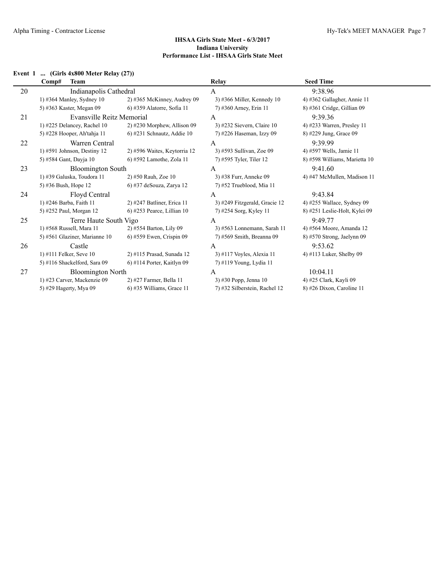# **Event 1 ... (Girls 4x800 Meter Relay (27))**

|    | Comp#<br><b>Team</b>          |                               | Relay                         | <b>Seed Time</b>              |
|----|-------------------------------|-------------------------------|-------------------------------|-------------------------------|
| 20 | Indianapolis Cathedral        |                               | A                             | 9:38.96                       |
|    | 1) #364 Manley, Sydney 10     | $2)$ #365 McKinney, Audrey 09 | 3) #366 Miller, Kennedy $10$  | 4) #362 Gallagher, Annie 11   |
|    | 5) #363 Kaster, Megan 09      | 6) #359 Alatorre, Sofia 11    | 7) #360 Arney, Erin 11        | $8)$ #361 Cridge, Gillian 09  |
| 21 | Evansville Reitz Memorial     |                               | A                             | 9:39.36                       |
|    | 1) #225 Delancey, Rachel $10$ | $2)$ #230 Morphew, Allison 09 | 3) #232 Sievern, Claire $10$  | 4) #233 Warren, Presley 11    |
|    | 5) #228 Hooper, Ah'tahja 11   | 6) #231 Schnautz, Addie 10    | 7) #226 Haseman, Izzy 09      | 8) #229 Jung, Grace 09        |
| 22 | Warren Central                |                               | A                             | 9:39.99                       |
|    | $1)$ #591 Johnson, Destiny 12 | 2) #596 Waites, Keytorria 12  | 3) #593 Sullivan, Zoe 09      | 4) #597 Wells, Jamie 11       |
|    | 5) #584 Gant, Dayja 10        | 6) #592 Lamothe, Zola 11      | 7) #595 Tyler, Tiler 12       | 8) #598 Williams, Marietta 10 |
| 23 | <b>Bloomington South</b>      |                               | A                             | 9:41.60                       |
|    | 1) #39 Galuska, Toudora 11    | 2) #50 Rauh, Zoe 10           | 3) #38 Furr, Anneke 09        | 4) #47 McMullen, Madison 11   |
|    | 5) #36 Bush, Hope 12          | $(6)$ #37 deSouza, Zarya 12   | 7) #52 Trueblood, Mia 11      |                               |
| 24 | Floyd Central                 |                               | A                             | 9:43.84                       |
|    | 1) #246 Barba, Faith 11       | $2)$ #247 Batliner, Erica 11  | 3) #249 Fitzgerald, Gracie 12 | 4) #255 Wallace, Sydney 09    |
|    | 5) #252 Paul, Morgan 12       | $6$ ) #253 Pearce, Lillian 10 | 7) #254 Sorg, Kyley 11        | 8) #251 Leslie-Holt, Kylei 09 |
| 25 | Terre Haute South Vigo        |                               | A                             | 9:49.77                       |
|    | 1) #568 Russell, Mara 11      | 2) #554 Barton, Lily 09       | 3) #563 Lonnemann, Sarah 11   | 4) #564 Moore, Amanda 12      |
|    | 5) #561 Glaziner, Marianne 10 | $(6)$ #559 Ewen, Crispin 09   | 7) #569 Smith, Breanna 09     | 8) #570 Strong, Jaelynn 09    |
| 26 | Castle                        |                               | A                             | 9:53.62                       |
|    | 1) #111 Felker, Seve $10$     | 2) #115 Prasad, Sunada 12     | $3)$ #117 Voyles, Alexia 11   | 4) #113 Luker, Shelby 09      |
|    | 5) #116 Shackelford, Sara 09  | $6$ ) #114 Porter, Kaitlyn 09 | 7) #119 Young, Lydia 11       |                               |
| 27 | <b>Bloomington North</b>      |                               | A                             | 10:04.11                      |
|    | 1) #23 Carver, Mackenzie 09   | 2) #27 Farmer, Bella 11       | 3) #30 Popp, Jenna 10         | 4) #25 Clark, Kayli 09        |
|    | 5) #29 Hagerty, Mya 09        | $(6)$ #35 Williams, Grace 11  | 7) #32 Silberstein, Rachel 12 | 8) #26 Dixon, Caroline 11     |
|    |                               |                               |                               |                               |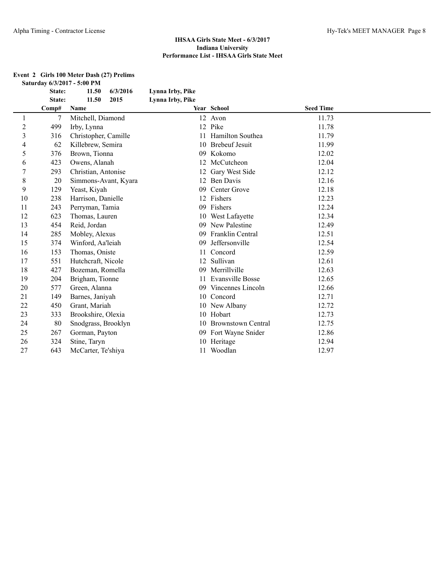|                          | State: | 11.50<br>6/3/2016    | Lynna Irby, Pike |                           |                  |  |
|--------------------------|--------|----------------------|------------------|---------------------------|------------------|--|
|                          | State: | 11.50<br>2015        | Lynna Irby, Pike |                           |                  |  |
|                          | Comp#  | Name                 |                  | Year School               | <b>Seed Time</b> |  |
| 1                        | 7      | Mitchell, Diamond    | 12               | Avon                      | 11.73            |  |
| $\overline{c}$           | 499    | Irby, Lynna          |                  | 12 Pike                   | 11.78            |  |
| 3                        | 316    | Christopher, Camille | 11               | Hamilton Southea          | 11.79            |  |
| $\overline{\mathcal{L}}$ | 62     | Killebrew, Semira    | 10               | <b>Brebeuf Jesuit</b>     | 11.99            |  |
| 5                        | 376    | Brown, Tionna        | 09               | Kokomo                    | 12.02            |  |
| 6                        | 423    | Owens, Alanah        | 12               | McCutcheon                | 12.04            |  |
| $\overline{7}$           | 293    | Christian, Antonise  | 12               | Gary West Side            | 12.12            |  |
| 8                        | 20     | Simmons-Avant, Kyara | 12               | <b>Ben Davis</b>          | 12.16            |  |
| 9                        | 129    | Yeast, Kiyah         | 09               | Center Grove              | 12.18            |  |
| 10                       | 238    | Harrison, Danielle   | 12               | Fishers                   | 12.23            |  |
| 11                       | 243    | Perryman, Tamia      | 09               | Fishers                   | 12.24            |  |
| 12                       | 623    | Thomas, Lauren       | 10               | West Lafayette            | 12.34            |  |
| 13                       | 454    | Reid, Jordan         | 09               | New Palestine             | 12.49            |  |
| 14                       | 285    | Mobley, Alexus       | 09               | Franklin Central          | 12.51            |  |
| 15                       | 374    | Winford, Aa'leiah    | 09               | Jeffersonville            | 12.54            |  |
| 16                       | 153    | Thomas, Oniste       | 11               | Concord                   | 12.59            |  |
| 17                       | 551    | Hutchcraft, Nicole   | 12               | Sullivan                  | 12.61            |  |
| 18                       | 427    | Bozeman, Romella     | 09               | Merrillville              | 12.63            |  |
| 19                       | 204    | Brigham, Tionne      | 11               | Evansville Bosse          | 12.65            |  |
| 20                       | 577    | Green, Alanna        | 09               | Vincennes Lincoln         | 12.66            |  |
| 21                       | 149    | Barnes, Janiyah      | 10               | Concord                   | 12.71            |  |
| 22                       | 450    | Grant, Mariah        | 10               | New Albany                | 12.72            |  |
| 23                       | 333    | Brookshire, Olexia   | 10               | Hobart                    | 12.73            |  |
| 24                       | 80     | Snodgrass, Brooklyn  | 10               | <b>Brownstown Central</b> | 12.75            |  |
| 25                       | 267    | Gorman, Payton       | 09               | Fort Wayne Snider         | 12.86            |  |
| 26                       | 324    | Stine, Taryn         | 10               | Heritage                  | 12.94            |  |
| 27                       | 643    | McCarter, Te'shiya   | 11               | Woodlan                   | 12.97            |  |

#### **Event 2 Girls 100 Meter Dash (27) Prelims Saturday 6/3/2017 - 5:00 PM**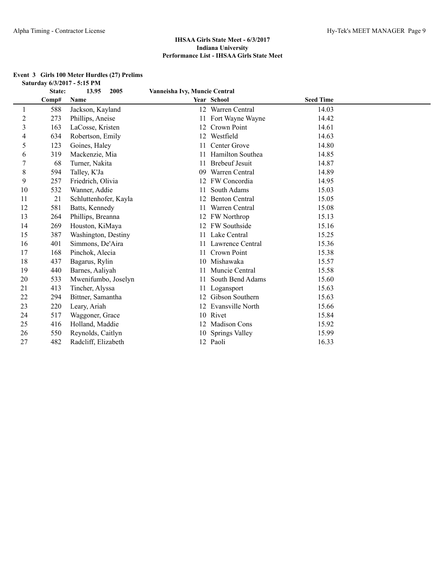# **Event 3 Girls 100 Meter Hurdles (27) Prelims Saturday 6/3/2017 - 5:15 PM**

|                | State: | 13.95<br>2005         | Vanneisha Ivy, Muncie Central |                       |                  |  |
|----------------|--------|-----------------------|-------------------------------|-----------------------|------------------|--|
|                | Comp#  | Name                  |                               | Year School           | <b>Seed Time</b> |  |
|                | 588    | Jackson, Kayland      |                               | 12 Warren Central     | 14.03            |  |
| $\overline{c}$ | 273    | Phillips, Aneise      |                               | 11 Fort Wayne Wayne   | 14.42            |  |
| 3              | 163    | LaCosse, Kristen      | 12                            | Crown Point           | 14.61            |  |
| 4              | 634    | Robertson, Emily      | 12                            | Westfield             | 14.63            |  |
| 5              | 123    | Goines, Haley         | 11                            | Center Grove          | 14.80            |  |
| 6              | 319    | Mackenzie, Mia        |                               | Hamilton Southea      | 14.85            |  |
|                | 68     | Turner, Nakita        | 11                            | <b>Brebeuf Jesuit</b> | 14.87            |  |
| 8              | 594    | Talley, K'Ja          | 09                            | Warren Central        | 14.89            |  |
| 9              | 257    | Friedrich, Olivia     | 12                            | FW Concordia          | 14.95            |  |
| 10             | 532    | Wanner, Addie         | 11                            | South Adams           | 15.03            |  |
| 11             | 21     | Schluttenhofer, Kayla | 12                            | <b>Benton Central</b> | 15.05            |  |
| 12             | 581    | Batts, Kennedy        | 11                            | Warren Central        | 15.08            |  |
| 13             | 264    | Phillips, Breanna     |                               | 12 FW Northrop        | 15.13            |  |
| 14             | 269    | Houston, KiMaya       |                               | 12 FW Southside       | 15.16            |  |
| 15             | 387    | Washington, Destiny   | 11                            | Lake Central          | 15.25            |  |
| 16             | 401    | Simmons, De'Aira      |                               | 11 Lawrence Central   | 15.36            |  |
| 17             | 168    | Pinchok, Alecia       | 11                            | Crown Point           | 15.38            |  |
| 18             | 437    | Bagarus, Rylin        |                               | 10 Mishawaka          | 15.57            |  |
| 19             | 440    | Barnes, Aaliyah       |                               | Muncie Central        | 15.58            |  |
| 20             | 533    | Mwenifumbo, Joselyn   | 11                            | South Bend Adams      | 15.60            |  |
| 21             | 413    | Tincher, Alyssa       |                               | Logansport            | 15.63            |  |
| 22             | 294    | Bittner, Samantha     | 12                            | Gibson Southern       | 15.63            |  |
| 23             | 220    | Leary, Ariah          |                               | 12 Evansville North   | 15.66            |  |
| 24             | 517    | Waggoner, Grace       |                               | 10 Rivet              | 15.84            |  |
| 25             | 416    | Holland, Maddie       |                               | 12 Madison Cons       | 15.92            |  |
| 26             | 550    | Reynolds, Caitlyn     |                               | 10 Springs Valley     | 15.99            |  |
| 27             | 482    | Radcliff, Elizabeth   |                               | 12 Paoli              | 16.33            |  |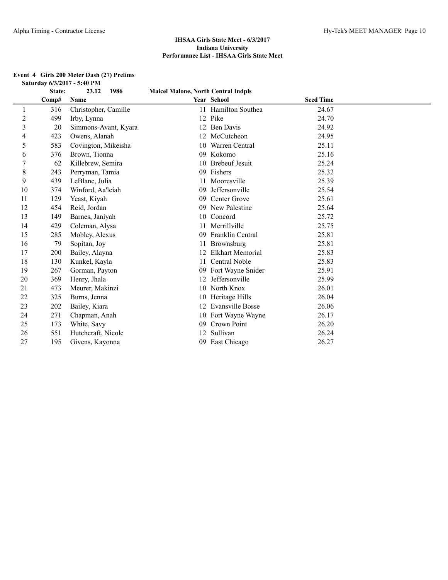|                | State: | 23.12<br>1986        | <b>Maicel Malone, North Central Indpls</b> |                     |                  |  |
|----------------|--------|----------------------|--------------------------------------------|---------------------|------------------|--|
|                | Comp#  | Name                 |                                            | Year School         | <b>Seed Time</b> |  |
| 1              | 316    | Christopher, Camille |                                            | 11 Hamilton Southea | 24.67            |  |
| $\overline{c}$ | 499    | Irby, Lynna          | 12                                         | Pike                | 24.70            |  |
| 3              | 20     | Simmons-Avant, Kyara | 12                                         | Ben Davis           | 24.92            |  |
| 4              | 423    | Owens, Alanah        | 12                                         | McCutcheon          | 24.95            |  |
| 5              | 583    | Covington, Mikeisha  |                                            | 10 Warren Central   | 25.11            |  |
| 6              | 376    | Brown, Tionna        | 09                                         | Kokomo              | 25.16            |  |
| $\overline{7}$ | 62     | Killebrew, Semira    |                                            | 10 Brebeuf Jesuit   | 25.24            |  |
| 8              | 243    | Perryman, Tamia      |                                            | 09 Fishers          | 25.32            |  |
| 9              | 439    | LeBlanc, Julia       | 11                                         | Mooresville         | 25.39            |  |
| 10             | 374    | Winford, Aa'leiah    | 09                                         | Jeffersonville      | 25.54            |  |
| 11             | 129    | Yeast, Kiyah         | 09                                         | Center Grove        | 25.61            |  |
| 12             | 454    | Reid, Jordan         | 09                                         | New Palestine       | 25.64            |  |
| 13             | 149    | Barnes, Janiyah      | 10                                         | Concord             | 25.72            |  |
| 14             | 429    | Coleman, Alysa       | 11                                         | Merrillville        | 25.75            |  |
| 15             | 285    | Mobley, Alexus       | 09                                         | Franklin Central    | 25.81            |  |
| 16             | 79     | Sopitan, Joy         | 11                                         | Brownsburg          | 25.81            |  |
| 17             | 200    | Bailey, Alayna       | 12                                         | Elkhart Memorial    | 25.83            |  |
| 18             | 130    | Kunkel, Kayla        | 11                                         | Central Noble       | 25.83            |  |
| 19             | 267    | Gorman, Payton       | 09                                         | Fort Wayne Snider   | 25.91            |  |
| 20             | 369    | Henry, Jhala         | 12                                         | Jeffersonville      | 25.99            |  |
| 21             | 473    | Meurer, Makinzi      | 10                                         | North Knox          | 26.01            |  |
| 22             | 325    | Burns, Jenna         | 10                                         | Heritage Hills      | 26.04            |  |
| 23             | 202    | Bailey, Kiara        | 12                                         | Evansville Bosse    | 26.06            |  |
| 24             | 271    | Chapman, Anah        | 10                                         | Fort Wayne Wayne    | 26.17            |  |
| 25             | 173    | White, Savy          | 09                                         | Crown Point         | 26.20            |  |
| 26             | 551    | Hutchcraft, Nicole   | 12                                         | Sullivan            | 26.24            |  |
| 27             | 195    | Givens, Kayonna      | 09                                         | East Chicago        | 26.27            |  |

#### **Event 4 Girls 200 Meter Dash (27) Prelims Saturday 6/3/2017 - 5:40 PM**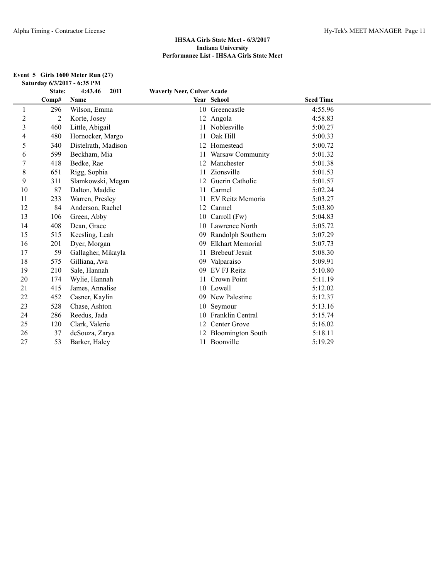#### **Event 5 Girls 1600 Meter Run (27) Saturday 6/3/2017 - 6:35 PM**

|                | State: | 4:43.46<br>2011     | <b>Waverly Neer, Culver Acade</b> |                          |                  |  |
|----------------|--------|---------------------|-----------------------------------|--------------------------|------------------|--|
|                | Comp#  | Name                |                                   | Year School              | <b>Seed Time</b> |  |
| 1              | 296    | Wilson, Emma        |                                   | 10 Greencastle           | 4:55.96          |  |
| $\overline{c}$ | 2      | Korte, Josey        |                                   | 12 Angola                | 4:58.83          |  |
| 3              | 460    | Little, Abigail     |                                   | 11 Noblesville           | 5:00.27          |  |
| 4              | 480    | Hornocker, Margo    | 11                                | Oak Hill                 | 5:00.33          |  |
| 5              | 340    | Distelrath, Madison |                                   | Homestead                | 5:00.72          |  |
| 6              | 599    | Beckham, Mia        | 11                                | Warsaw Community         | 5:01.32          |  |
| 7              | 418    | Bedke, Rae          | 12                                | Manchester               | 5:01.38          |  |
| $\,8\,$        | 651    | Rigg, Sophia        | 11                                | Zionsville               | 5:01.53          |  |
| 9              | 311    | Slamkowski, Megan   | 12                                | Guerin Catholic          | 5:01.57          |  |
| 10             | 87     | Dalton, Maddie      | 11                                | Carmel                   | 5:02.24          |  |
| 11             | 233    | Warren, Presley     |                                   | EV Reitz Memoria         | 5:03.27          |  |
| 12             | 84     | Anderson, Rachel    | 12                                | Carmel                   | 5:03.80          |  |
| 13             | 106    | Green, Abby         | 10                                | Carroll (Fw)             | 5:04.83          |  |
| 14             | 408    | Dean, Grace         | 10                                | Lawrence North           | 5:05.72          |  |
| 15             | 515    | Keesling, Leah      | 09                                | Randolph Southern        | 5:07.29          |  |
| 16             | 201    | Dyer, Morgan        | 09                                | Elkhart Memorial         | 5:07.73          |  |
| 17             | 59     | Gallagher, Mikayla  | 11                                | <b>Brebeuf Jesuit</b>    | 5:08.30          |  |
| 18             | 575    | Gilliana, Ava       | 09                                | Valparaiso               | 5:09.91          |  |
| 19             | 210    | Sale, Hannah        | 09                                | <b>EV FJ Reitz</b>       | 5:10.80          |  |
| 20             | 174    | Wylie, Hannah       | 11                                | Crown Point              | 5:11.19          |  |
| 21             | 415    | James, Annalise     |                                   | 10 Lowell                | 5:12.02          |  |
| 22             | 452    | Casner, Kaylin      | 09                                | New Palestine            | 5:12.37          |  |
| 23             | 528    | Chase, Ashton       | 10                                | Seymour                  | 5:13.16          |  |
| 24             | 286    | Reedus, Jada        | 10                                | Franklin Central         | 5:15.74          |  |
| 25             | 120    | Clark, Valerie      | 12                                | Center Grove             | 5:16.02          |  |
| 26             | 37     | deSouza, Zarya      |                                   | <b>Bloomington South</b> | 5:18.11          |  |
| 27             | 53     | Barker, Haley       |                                   | 11 Boonville             | 5:19.29          |  |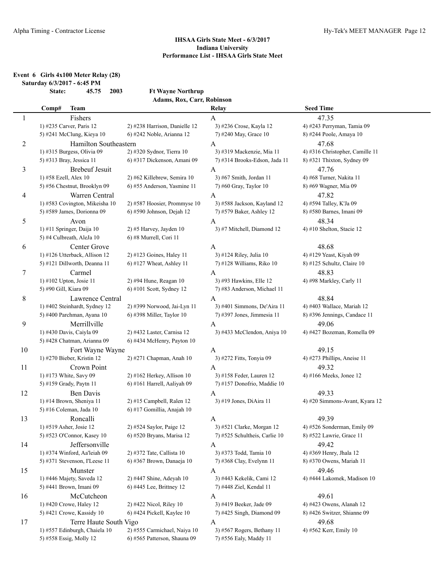**Event 6 Girls 4x100 Meter Relay (28)**

**Saturday 6/3/2017 - 6:45 PM**

|    | 2003<br>State:<br>45.75                        | <b>Ft Wayne Northrup</b>                               |                                           |                                 |
|----|------------------------------------------------|--------------------------------------------------------|-------------------------------------------|---------------------------------|
|    |                                                | Adams, Rox, Carr, Robinson                             |                                           |                                 |
|    | <b>Team</b><br>Comp#                           |                                                        | Relay                                     | <b>Seed Time</b>                |
| 1  | Fishers                                        |                                                        | A                                         | 47.35                           |
|    | 1) #235 Carver, Paris 12                       | 2) #238 Harrison, Danielle 12                          | 3) #236 Crose, Kayla 12                   | 4) #243 Perryman, Tamia 09      |
|    | 5) #241 McClung, Kieya 10                      | 6) #242 Noble, Arianna 12                              | 7) #240 May, Grace 10                     | 8) #244 Poole, Amaya 10         |
| 2  | Hamilton Southeastern                          |                                                        | $\mathbf{A}$                              | 47.68                           |
|    | 1) #315 Burgess, Olivia 09                     | 2) #320 Sydnor, Tierra 10                              | 3) #319 Mackenzie, Mia 11                 | 4) #316 Christopher, Camille 11 |
|    | 5) #313 Bray, Jessica 11                       | 6) #317 Dickenson, Amani 09                            | 7) #314 Brooks-Edson, Jada 11             | 8) #321 Thixton, Sydney 09      |
| 3  | <b>Brebeuf Jesuit</b>                          |                                                        | $\mathbf{A}$                              | 47.76                           |
|    | 1) #58 Ezell, Alex 10                          | 2) #62 Killebrew, Semira 10                            | 3) #67 Smith, Jordan 11                   | 4) #68 Turner, Nakita 11        |
|    | 5) #56 Chestnut, Brooklyn 09                   | 6) #55 Anderson, Yasmine 11                            | 7) #60 Gray, Taylor 10                    | 8) #69 Wagner, Mia 09           |
| 4  | Warren Central                                 |                                                        | $\mathbf{A}$                              | 47.82                           |
|    | 1) #583 Covington, Mikeisha 10                 | 2) #587 Hoosier, Prommyse 10                           | 3) #588 Jackson, Kayland 12               | 4) #594 Talley, K'Ja 09         |
|    | 5) #589 James, Dorionna 09                     | 6) #590 Johnson, Dejah 12                              | 7) #579 Baker, Ashley 12                  | 8) #580 Barnes, Imani 09        |
| 5  | Avon                                           |                                                        | $\mathbf{A}$                              | 48.34                           |
|    | 1) #11 Springer, Daija 10                      | 2) #5 Harvey, Jayden 10                                | 3) #7 Mitchell, Diamond 12                | 4) #10 Shelton, Stacie 12       |
|    | 5) #4 Culbreath, AleJa 10                      | 6) #8 Murrell, Cori 11                                 |                                           |                                 |
| 6  | Center Grove                                   |                                                        | A                                         | 48.68                           |
|    | 1) #126 Utterback, Allison 12                  | 2) #123 Goines, Haley 11                               | 3) #124 Riley, Julia 10                   | 4) #129 Yeast, Kiyah 09         |
|    | 5) #121 Dillworth, Deanna 11                   | 6) #127 Wheat, Ashley 11                               | 7) #128 Williams, Riko 10                 | 8) #125 Schultz, Claire 10      |
| 7  | Carmel                                         |                                                        | A                                         | 48.83                           |
|    | 1) #102 Upton, Josie 11                        | 2) #94 Hune, Reagan 10                                 | 3) #93 Hawkins, Elle 12                   | 4) #98 Markley, Carly 11        |
|    | 5) #90 Gill, Kiara 09                          | $6$ ) #101 Scott, Sydney 12                            | 7) #83 Anderson, Michael 11               |                                 |
| 8  | Lawrence Central                               |                                                        | $\mathbf{A}$                              | 48.84                           |
|    | 1) #402 Steinhardt, Sydney 12                  | 2) #399 Norwood, Jai-Lyn 11                            | 3) #401 Simmons, De'Aira 11               | 4) #403 Wallace, Mariah 12      |
|    | 5) #400 Parchman, Ayana 10                     | $6$ ) #398 Miller, Taylor 10                           | 7) #397 Jones, Jimmesia 11                | 8) #396 Jennings, Candace 11    |
| 9  | Merrillville                                   |                                                        | A                                         | 49.06                           |
|    | 1) #430 Davis, Caiyla 09                       | 2) #432 Laster, Carnisa 12                             | 3) #433 McClendon, Aniya 10               | 4) #427 Bozeman, Romella 09     |
|    | 5) #428 Chatman, Arianna 09                    | 6) #434 McHenry, Payton 10                             |                                           |                                 |
| 10 | Fort Wayne Wayne                               |                                                        | A                                         | 49.15                           |
|    | 1) #270 Bieber, Kristin 12                     | 2) #271 Chapman, Anah 10                               | 3) #272 Fitts, Tonyia 09                  | 4) #273 Phillips, Aneise 11     |
| 11 | Crown Point                                    |                                                        |                                           | 49.32                           |
|    | 1) #173 White, Savy 09                         | 2) #162 Herkey, Allison 10                             | $\mathbf{A}$<br>3) #158 Feder, Lauren 12  | 4) #166 Meeks, Jonee 12         |
|    | 5) #159 Grady, Paytn 11                        | 6) #161 Harrell, Aaliyah 09                            | 7) #157 Donofrio, Maddie 10               |                                 |
|    |                                                |                                                        |                                           | 49.33                           |
| 12 | Ben Davis<br>1) #14 Brown, Sheniya 11          | 2) #15 Campbell, Ralen 12                              | A<br>3) #19 Jones, DiAira 11              | 4) #20 Simmons-Avant, Kyara 12  |
|    | 5) #16 Coleman, Jada 10                        | 6) #17 Gomillia, Anajah 10                             |                                           |                                 |
|    | Roncalli                                       |                                                        |                                           | 49.39                           |
| 13 | 1) #519 Asher, Josie 12                        | 2) #524 Saylor, Paige 12                               | $\mathbf{A}$<br>3) #521 Clarke, Morgan 12 | 4) #526 Sonderman, Emily 09     |
|    | 5) #523 O'Connor, Kasey 10                     | 6) #520 Bryans, Marisa 12                              | 7) #525 Schultheis, Carlie 10             | 8) #522 Lawrie, Grace 11        |
|    |                                                |                                                        |                                           |                                 |
| 14 | Jeffersonville<br>1) #374 Winford, Aa'leiah 09 |                                                        | A<br>3) #373 Todd, Tamia 10               | 49.42                           |
|    | 5) #371 Stevenson, I'Leese 11                  | 2) #372 Tate, Callista 10<br>6) #367 Brown, Danaeja 10 | 7) #368 Clay, Evelynn 11                  | 4) #369 Henry, Jhala 12         |
|    |                                                |                                                        |                                           | 8) #370 Owens, Mariah 11        |
| 15 | Munster                                        |                                                        | $\mathbf{A}$                              | 49.46                           |
|    | 1) #446 Majety, Saveda 12                      | 2) #447 Shine, Adeyah 10                               | 3) #443 Kekelik, Cami 12                  | 4) #444 Lakomek, Madison 10     |
|    | 5) #441 Brown, Imani 09                        | 6) #445 Lee, Brittney 12                               | 7) #448 Ziel, Kendal 11                   |                                 |
| 16 | McCutcheon                                     |                                                        | A                                         | 49.61                           |
|    | 1) #420 Crowe, Haley 12                        | 2) #422 Nicol, Riley 10                                | 3) #419 Beeker, Jade 09                   | 4) #423 Owens, Alanah 12        |
|    | 5) #421 Crowe, Kassidy 10                      | 6) #424 Pickell, Kaylee 10                             | 7) #425 Singh, Diamond 09                 | 8) #426 Switzer, Shianne 09     |
| 17 | Terre Haute South Vigo                         |                                                        | A                                         | 49.68                           |
|    | 1) #557 Edinburgh, Chaiela 10                  | 2) #555 Carmichael, Naiya 10                           | 3) #567 Rogers, Bethany 11                | 4) #562 Kerr, Emily 10          |
|    | 5) #558 Essig, Molly 12                        | 6) #565 Patterson, Shauna 09                           | 7) #556 Ealy, Maddy 11                    |                                 |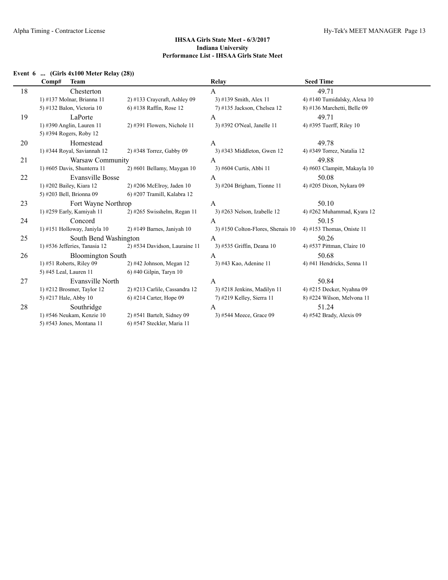# **Event 6 ... (Girls 4x100 Meter Relay (28))**

|    | <b>Team</b><br>Comp#          |                                | Relay                               | <b>Seed Time</b>             |
|----|-------------------------------|--------------------------------|-------------------------------------|------------------------------|
| 18 | Chesterton                    |                                | A                                   | 49.71                        |
|    | 1) #137 Molnar, Brianna 11    | $2)$ #133 Craycraft, Ashley 09 | 3) #139 Smith, Alex 11              | 4) #140 Tumidalsky, Alexa 10 |
|    | 5) #132 Balon, Victoria 10    | 6) #138 Raffin, Rose 12        | 7) #135 Jackson, Chelsea 12         | 8) #136 Marchetti, Belle 09  |
| 19 | LaPorte                       |                                | $\mathsf{A}$                        | 49.71                        |
|    | 1) #390 Anglin, Lauren 11     | $2)$ #391 Flowers, Nichole 11  | 3) #392 O'Neal, Janelle 11          | 4) #395 Tuerff, Riley 10     |
|    | 5) #394 Rogers, Roby 12       |                                |                                     |                              |
| 20 | Homestead                     |                                | A                                   | 49.78                        |
|    | 1) #344 Royal, Saviannah 12   | 2) #348 Torrez, Gabby 09       | 3) #343 Middleton, Gwen $12$        | 4) #349 Torrez, Natalia 12   |
| 21 | Warsaw Community              |                                | A                                   | 49.88                        |
|    | 1) #605 Davis, Shunterra 11   | $2)$ #601 Bellamy, Maygan 10   | 3) #604 Curtis, Abbi 11             | 4) #603 Clampitt, Makayla 10 |
| 22 | <b>Evansville Bosse</b>       |                                | A                                   | 50.08                        |
|    | 1) #202 Bailey, Kiara 12      | $2)$ #206 McElroy, Jaden 10    | 3) #204 Brigham, Tionne 11          | 4) #205 Dixon, Nykara 09     |
|    | 5) #203 Bell, Brionna 09      | 6) #207 Tramill, Kalabra 12    |                                     |                              |
| 23 | Fort Wayne Northrop           |                                | $\mathsf{A}$                        | 50.10                        |
|    | 1) #259 Early, Kamiyah 11     | $2)$ #265 Swisshelm, Regan 11  | $3)$ #263 Nelson, Izabelle 12       | 4) #262 Muhammad, Kyara 12   |
| 24 | Concord                       |                                | A                                   | 50.15                        |
|    | 1) #151 Holloway, Janiyla 10  | 2) #149 Barnes, Janiyah 10     | $3)$ #150 Colton-Flores, Shenais 10 | 4) #153 Thomas, Oniste 11    |
| 25 | South Bend Washington         |                                | A                                   | 50.26                        |
|    | 1) #536 Jefferies, Tanasia 12 | 2) #534 Davidson, Lauraine 11  | 3) #535 Griffin, Deana 10           | 4) #537 Pittman, Claire $10$ |
| 26 | <b>Bloomington South</b>      |                                | $\overline{A}$                      | 50.68                        |
|    | $1)$ #51 Roberts, Riley 09    | 2) #42 Johnson, Megan 12       | 3) #43 Kao, Adenine 11              | 4) #41 Hendricks, Senna 11   |
|    | 5) #45 Leal, Lauren 11        | $6$ ) #40 Gilpin, Taryn 10     |                                     |                              |
| 27 | Evansville North              |                                | A                                   | 50.84                        |
|    | 1) $#212$ Brosmer, Taylor 12  | 2) #213 Carlile, Cassandra 12  | 3) #218 Jenkins, Madilyn 11         | 4) #215 Decker, Nyahna 09    |
|    | 5) #217 Hale, Abby 10         | $6$ ) #214 Carter, Hope 09     | 7) #219 Kelley, Sierra 11           | 8) #224 Wilson, Melvona 11   |
| 28 | Southridge                    |                                | A                                   | 51.24                        |
|    | 1) #546 Neukam, Kenzie 10     | $2)$ #541 Bartelt, Sidney 09   | 3) #544 Meece, Grace 09             | 4) #542 Brady, Alexis 09     |
|    | 5) #543 Jones, Montana 11     | 6) #547 Steckler, Maria 11     |                                     |                              |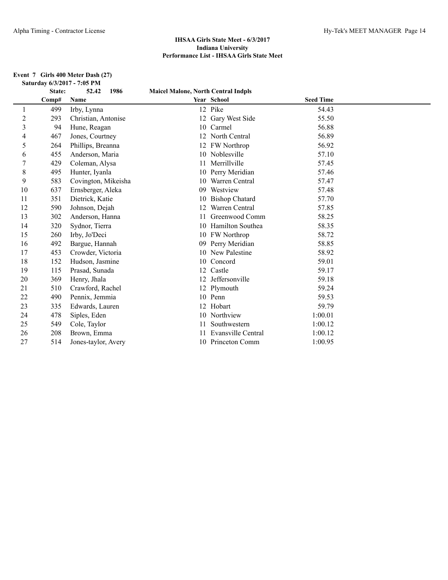#### **Event 7 Girls 400 Meter Dash (27) Saturday 6/3/2017 - 7:05 PM**

|    | State: | 1986<br>52.42       | <b>Maicel Malone, North Central Indpls</b> |                       |                  |  |
|----|--------|---------------------|--------------------------------------------|-----------------------|------------------|--|
|    | Comp#  | Name                |                                            | Year School           | <b>Seed Time</b> |  |
| 1  | 499    | Irby, Lynna         |                                            | 12 Pike               | 54.43            |  |
| 2  | 293    | Christian, Antonise |                                            | 12 Gary West Side     | 55.50            |  |
| 3  | 94     | Hune, Reagan        |                                            | 10 Carmel             | 56.88            |  |
| 4  | 467    | Jones, Courtney     |                                            | 12 North Central      | 56.89            |  |
| 5  | 264    | Phillips, Breanna   |                                            | 12 FW Northrop        | 56.92            |  |
| 6  | 455    | Anderson, Maria     |                                            | 10 Noblesville        | 57.10            |  |
| 7  | 429    | Coleman, Alysa      |                                            | Merrillville          | 57.45            |  |
| 8  | 495    | Hunter, Iyanla      |                                            | 10 Perry Meridian     | 57.46            |  |
| 9  | 583    | Covington, Mikeisha |                                            | 10 Warren Central     | 57.47            |  |
| 10 | 637    | Ernsberger, Aleka   | 09                                         | Westview              | 57.48            |  |
| 11 | 351    | Dietrick, Katie     | 10                                         | <b>Bishop Chatard</b> | 57.70            |  |
| 12 | 590    | Johnson, Dejah      | 12                                         | Warren Central        | 57.85            |  |
| 13 | 302    | Anderson, Hanna     | 11                                         | Greenwood Comm        | 58.25            |  |
| 14 | 320    | Sydnor, Tierra      |                                            | 10 Hamilton Southea   | 58.35            |  |
| 15 | 260    | Irby, Jo'Deci       |                                            | 10 FW Northrop        | 58.72            |  |
| 16 | 492    | Bargue, Hannah      |                                            | 09 Perry Meridian     | 58.85            |  |
| 17 | 453    | Crowder, Victoria   |                                            | 10 New Palestine      | 58.92            |  |
| 18 | 152    | Hudson, Jasmine     |                                            | 10 Concord            | 59.01            |  |
| 19 | 115    | Prasad, Sunada      | 12                                         | Castle                | 59.17            |  |
| 20 | 369    | Henry, Jhala        | 12                                         | Jeffersonville        | 59.18            |  |
| 21 | 510    | Crawford, Rachel    |                                            | 12 Plymouth           | 59.24            |  |
| 22 | 490    | Pennix, Jemmia      |                                            | 10 Penn               | 59.53            |  |
| 23 | 335    | Edwards, Lauren     |                                            | 12 Hobart             | 59.79            |  |
| 24 | 478    | Siples, Eden        |                                            | 10 Northview          | 1:00.01          |  |
| 25 | 549    | Cole, Taylor        | 11                                         | Southwestern          | 1:00.12          |  |
| 26 | 208    | Brown, Emma         |                                            | Evansville Central    | 1:00.12          |  |
| 27 | 514    | Jones-taylor, Avery |                                            | 10 Princeton Comm     | 1:00.95          |  |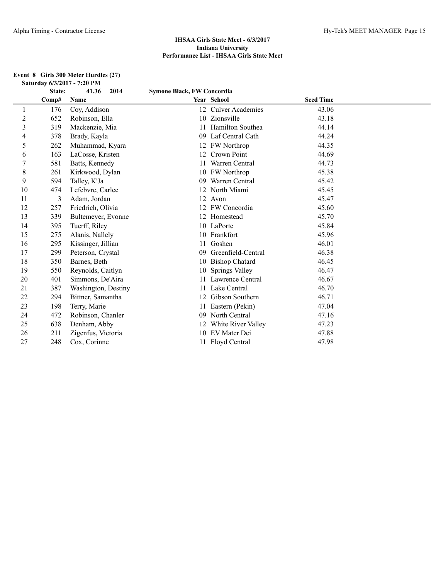#### **Event 8 Girls 300 Meter Hurdles (27) Saturday 6/3/2017 - 7:20 PM**

|                | State: | 41.36<br>2014       | <b>Symone Black, FW Concordia</b> |                     |                  |  |
|----------------|--------|---------------------|-----------------------------------|---------------------|------------------|--|
|                | Comp#  | Name                |                                   | Year School         | <b>Seed Time</b> |  |
| 1              | 176    | Coy, Addison        |                                   | 12 Culver Academies | 43.06            |  |
| $\sqrt{2}$     | 652    | Robinson, Ella      |                                   | 10 Zionsville       | 43.18            |  |
| $\mathfrak{Z}$ | 319    | Mackenzie, Mia      |                                   | Hamilton Southea    | 44.14            |  |
| 4              | 378    | Brady, Kayla        | 09                                | Laf Central Cath    | 44.24            |  |
| 5              | 262    | Muhammad, Kyara     |                                   | 12 FW Northrop      | 44.35            |  |
| 6              | 163    | LaCosse, Kristen    | 12                                | Crown Point         | 44.69            |  |
| $\tau$         | 581    | Batts, Kennedy      | 11                                | Warren Central      | 44.73            |  |
| 8              | 261    | Kirkwood, Dylan     |                                   | 10 FW Northrop      | 45.38            |  |
| 9              | 594    | Talley, K'Ja        | 09                                | Warren Central      | 45.42            |  |
| 10             | 474    | Lefebvre, Carlee    |                                   | 12 North Miami      | 45.45            |  |
| 11             | 3      | Adam, Jordan        |                                   | 12 Avon             | 45.47            |  |
| 12             | 257    | Friedrich, Olivia   | 12                                | FW Concordia        | 45.60            |  |
| 13             | 339    | Bultemeyer, Evonne  |                                   | 12 Homestead        | 45.70            |  |
| 14             | 395    | Tuerff, Riley       |                                   | 10 LaPorte          | 45.84            |  |
| 15             | 275    | Alanis, Nallely     |                                   | 10 Frankfort        | 45.96            |  |
| 16             | 295    | Kissinger, Jillian  |                                   | Goshen              | 46.01            |  |
| 17             | 299    | Peterson, Crystal   | 09                                | Greenfield-Central  | 46.38            |  |
| 18             | 350    | Barnes, Beth        |                                   | 10 Bishop Chatard   | 46.45            |  |
| 19             | 550    | Reynolds, Caitlyn   | 10                                | Springs Valley      | 46.47            |  |
| 20             | 401    | Simmons, De'Aira    | 11                                | Lawrence Central    | 46.67            |  |
| 21             | 387    | Washington, Destiny | 11                                | Lake Central        | 46.70            |  |
| 22             | 294    | Bittner, Samantha   | 12                                | Gibson Southern     | 46.71            |  |
| 23             | 198    | Terry, Marie        |                                   | Eastern (Pekin)     | 47.04            |  |
| 24             | 472    | Robinson, Chanler   | 09                                | North Central       | 47.16            |  |
| 25             | 638    | Denham, Abby        | 12                                | White River Valley  | 47.23            |  |
| 26             | 211    | Zigenfus, Victoria  |                                   | 10 EV Mater Dei     | 47.88            |  |
| 27             | 248    | Cox, Corinne        |                                   | 11 Floyd Central    | 47.98            |  |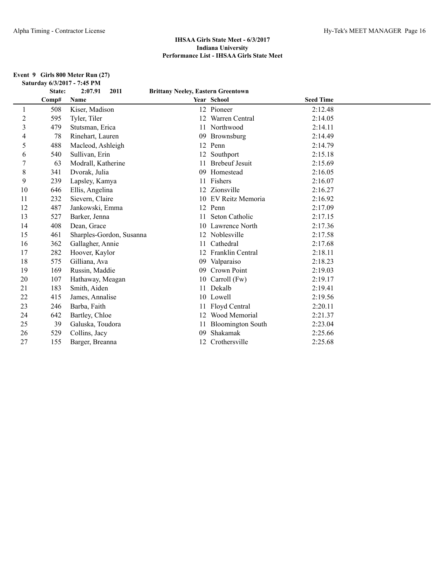#### **Event 9 Girls 800 Meter Run (27) Saturday 6/3/2017 - 7:45 PM**

|    | State: | 2:07.91<br>2011          | <b>Brittany Neeley, Eastern Greentown</b> |                          |                  |  |
|----|--------|--------------------------|-------------------------------------------|--------------------------|------------------|--|
|    | Comp#  | Name                     |                                           | Year School              | <b>Seed Time</b> |  |
| 1  | 508    | Kiser, Madison           |                                           | 12 Pioneer               | 2:12.48          |  |
| 2  | 595    | Tyler, Tiler             | $12^{\circ}$                              | Warren Central           | 2:14.05          |  |
| 3  | 479    | Stutsman, Erica          |                                           | 11 Northwood             | 2:14.11          |  |
| 4  | 78     | Rinehart, Lauren         |                                           | 09 Brownsburg            | 2:14.49          |  |
| 5  | 488    | Macleod, Ashleigh        |                                           | 12 Penn                  | 2:14.79          |  |
| 6  | 540    | Sullivan, Erin           |                                           | 12 Southport             | 2:15.18          |  |
| 7  | 63     | Modrall, Katherine       |                                           | <b>Brebeuf Jesuit</b>    | 2:15.69          |  |
| 8  | 341    | Dvorak, Julia            | 09                                        | Homestead                | 2:16.05          |  |
| 9  | 239    | Lapsley, Kamya           |                                           | Fishers                  | 2:16.07          |  |
| 10 | 646    | Ellis, Angelina          |                                           | 12 Zionsville            | 2:16.27          |  |
| 11 | 232    | Sievern, Claire          |                                           | 10 EV Reitz Memoria      | 2:16.92          |  |
| 12 | 487    | Jankowski, Emma          |                                           | 12 Penn                  | 2:17.09          |  |
| 13 | 527    | Barker, Jenna            | 11                                        | Seton Catholic           | 2:17.15          |  |
| 14 | 408    | Dean, Grace              |                                           | 10 Lawrence North        | 2:17.36          |  |
| 15 | 461    | Sharples-Gordon, Susanna |                                           | 12 Noblesville           | 2:17.58          |  |
| 16 | 362    | Gallagher, Annie         | 11                                        | Cathedral                | 2:17.68          |  |
| 17 | 282    | Hoover, Kaylor           |                                           | 12 Franklin Central      | 2:18.11          |  |
| 18 | 575    | Gilliana, Ava            | 09                                        | Valparaiso               | 2:18.23          |  |
| 19 | 169    | Russin, Maddie           | 09                                        | Crown Point              | 2:19.03          |  |
| 20 | 107    | Hathaway, Meagan         |                                           | 10 Carroll (Fw)          | 2:19.17          |  |
| 21 | 183    | Smith, Aiden             | 11                                        | Dekalb                   | 2:19.41          |  |
| 22 | 415    | James, Annalise          |                                           | 10 Lowell                | 2:19.56          |  |
| 23 | 246    | Barba, Faith             |                                           | 11 Floyd Central         | 2:20.11          |  |
| 24 | 642    | Bartley, Chloe           |                                           | 12 Wood Memorial         | 2:21.37          |  |
| 25 | 39     | Galuska, Toudora         |                                           | <b>Bloomington South</b> | 2:23.04          |  |
| 26 | 529    | Collins, Jacy            | 09                                        | Shakamak                 | 2:25.66          |  |
| 27 | 155    | Barger, Breanna          |                                           | 12 Crothersville         | 2:25.68          |  |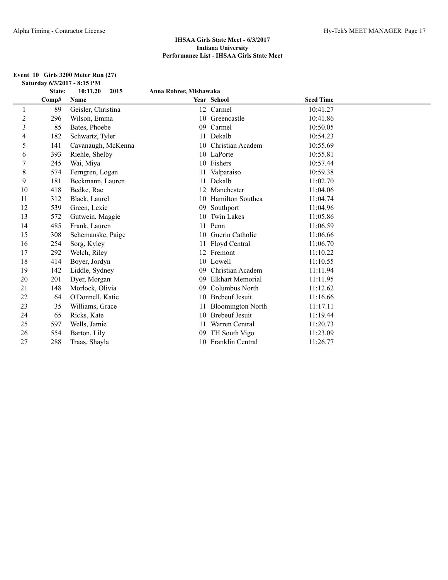#### **Event 10 Girls 3200 Meter Run (27) Saturday 6/3/2017 - 8:15 PM**

|                | State: | 10:11.20<br>2015   | Anna Rohrer, Mishawaka |                          |                  |  |
|----------------|--------|--------------------|------------------------|--------------------------|------------------|--|
|                | Comp#  | Name               |                        | Year School              | <b>Seed Time</b> |  |
| 1              | 89     | Geisler, Christina |                        | 12 Carmel                | 10:41.27         |  |
| $\overline{c}$ | 296    | Wilson, Emma       |                        | 10 Greencastle           | 10:41.86         |  |
| 3              | 85     | Bates, Phoebe      | 09                     | Carmel                   | 10:50.05         |  |
| 4              | 182    | Schwartz, Tyler    | 11                     | Dekalb                   | 10:54.23         |  |
| 5              | 141    | Cavanaugh, McKenna | 10                     | Christian Academ         | 10:55.69         |  |
| 6              | 393    | Riehle, Shelby     |                        | 10 LaPorte               | 10:55.81         |  |
| 7              | 245    | Wai, Miya          |                        | 10 Fishers               | 10:57.44         |  |
| 8              | 574    | Ferngren, Logan    |                        | Valparaiso               | 10:59.38         |  |
| 9              | 181    | Beckmann, Lauren   | 11                     | Dekalb                   | 11:02.70         |  |
| 10             | 418    | Bedke, Rae         | 12                     | Manchester               | 11:04.06         |  |
| 11             | 312    | Black, Laurel      | 10                     | Hamilton Southea         | 11:04.74         |  |
| 12             | 539    | Green, Lexie       | 09                     | Southport                | 11:04.96         |  |
| 13             | 572    | Gutwein, Maggie    | 10                     | Twin Lakes               | 11:05.86         |  |
| 14             | 485    | Frank, Lauren      |                        | 11 Penn                  | 11:06.59         |  |
| 15             | 308    | Schemanske, Paige  | 10                     | Guerin Catholic          | 11:06.66         |  |
| 16             | 254    | Sorg, Kyley        |                        | 11 Floyd Central         | 11:06.70         |  |
| 17             | 292    | Welch, Riley       |                        | 12 Fremont               | 11:10.22         |  |
| 18             | 414    | Boyer, Jordyn      |                        | 10 Lowell                | 11:10.55         |  |
| 19             | 142    | Liddle, Sydney     | 09                     | Christian Academ         | 11:11.94         |  |
| 20             | 201    | Dyer, Morgan       | 09                     | <b>Elkhart Memorial</b>  | 11:11.95         |  |
| 21             | 148    | Morlock, Olivia    | 09                     | Columbus North           | 11:12.62         |  |
| 22             | 64     | O'Donnell, Katie   | 10                     | <b>Brebeuf Jesuit</b>    | 11:16.66         |  |
| 23             | 35     | Williams, Grace    | 11                     | <b>Bloomington North</b> | 11:17.11         |  |
| 24             | 65     | Ricks, Kate        | 10                     | <b>Brebeuf Jesuit</b>    | 11:19.44         |  |
| 25             | 597    | Wells, Jamie       | 11                     | Warren Central           | 11:20.73         |  |
| 26             | 554    | Barton, Lily       | 09                     | TH South Vigo            | 11:23.09         |  |
| 27             | 288    | Traas, Shayla      |                        | 10 Franklin Central      | 11:26.77         |  |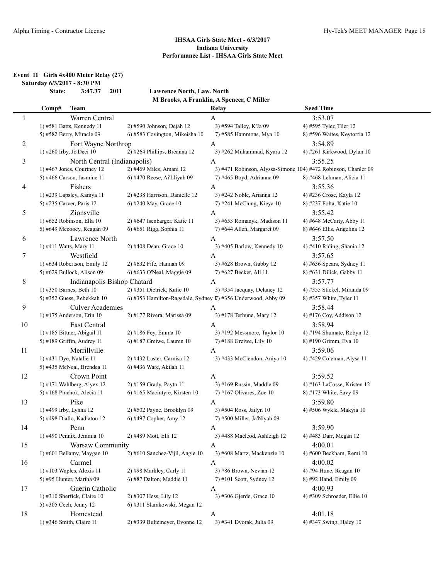**Event 11 Girls 4x400 Meter Relay (27)**

**Saturday 6/3/2017 - 8:30 PM**

**State: 3:47.37 2011 Lawrence North, Law. North M Brooks, A Franklin, A Spencer, C Miller**

|    | Comp#                  | <b>Team</b>                                    |                                                                            | Relay                                                          | <b>Seed Time</b>                       |
|----|------------------------|------------------------------------------------|----------------------------------------------------------------------------|----------------------------------------------------------------|----------------------------------------|
| 1  |                        | Warren Central                                 |                                                                            | A                                                              | 3:53.07                                |
|    |                        | 1) #581 Batts, Kennedy 11                      | 2) #590 Johnson, Dejah 12                                                  | 3) #594 Talley, K'Ja 09                                        | 4) #595 Tyler, Tiler 12                |
|    |                        | 5) #582 Berry, Miracle 09                      | 6) #583 Covington, Mikeisha 10                                             | 7) #585 Hammons, Mya 10                                        | 8) #596 Waites, Keytorria 12           |
| 2  |                        | Fort Wayne Northrop                            |                                                                            | $\mathbf{A}$                                                   | 3:54.89                                |
|    |                        | 1) #260 Irby, Jo'Deci 10                       | 2) #264 Phillips, Breanna 12                                               | 3) #262 Muhammad, Kyara 12                                     | 4) #261 Kirkwood, Dylan 10             |
| 3  |                        | North Central (Indianapolis)                   |                                                                            | A                                                              | 3:55.25                                |
|    |                        | $1)$ #467 Jones, Courtney 12                   | 2) #469 Miles, Amani 12                                                    | 3) #471 Robinson, Alyssa-Simone 104) #472 Robinson, Chanler 09 |                                        |
|    |                        |                                                |                                                                            |                                                                |                                        |
|    |                        | 5) #466 Carson, Jasmine 11                     | 6) #470 Reese, Ai'Lliyah 09                                                | 7) #465 Boyd, Adrianna 09                                      | 8) #468 Lehman, Alicia 11              |
| 4  |                        | Fishers                                        |                                                                            | A                                                              | 3:55.36                                |
|    |                        | 1) #239 Lapsley, Kamya 11                      | 2) #238 Harrison, Danielle 12                                              | 3) #242 Noble, Arianna 12                                      | 4) #236 Crose, Kayla 12                |
|    |                        | 5) #235 Carver, Paris 12                       | 6) #240 May, Grace 10                                                      | 7) #241 McClung, Kieya 10                                      | 8) #237 Folta, Katie 10                |
| 5  |                        | Zionsville                                     |                                                                            | A                                                              | 3:55.42                                |
|    |                        | 1) #652 Robinson, Ella 10                      | 2) #647 Isenbarger, Katie 11                                               | 3) #653 Romanyk, Madison 11                                    | 4) #648 McCarty, Abby 11               |
|    |                        | 5) #649 Mccooey, Reagan 09                     | 6) #651 Rigg, Sophia 11                                                    | 7) #644 Allen, Margaret 09                                     | 8) #646 Ellis, Angelina 12             |
| 6  |                        | Lawrence North                                 |                                                                            | A                                                              | 3:57.50                                |
|    | 1) #411 Watts, Mary 11 |                                                | 2) #408 Dean, Grace 10                                                     | 3) #405 Barlow, Kennedy 10                                     | 4) #410 Riding, Shania 12              |
| 7  |                        | Westfield                                      |                                                                            | A                                                              | 3:57.65                                |
|    |                        | 1) #634 Robertson, Emily 12                    | 2) #632 Fife, Hannah 09                                                    | 3) #628 Brown, Gabby 12                                        | 4) #636 Spears, Sydney 11              |
|    |                        | 5) #629 Bullock, Alison 09                     | 6) #633 O'Neal, Maggie 09                                                  | 7) #627 Becker, Ali 11                                         | 8) #631 Dilick, Gabby 11               |
| 8  |                        | Indianapolis Bishop Chatard                    |                                                                            | A                                                              | 3:57.77                                |
|    |                        | 1) #350 Barnes, Beth 10                        | 2) #351 Dietrick, Katie 10                                                 | 3) #354 Jacquay, Delaney 12                                    | 4) #355 Stickel, Miranda 09            |
|    |                        | 5) #352 Guess, Rebekkah 10                     | 6) #353 Hamilton-Ragsdale, Sydney $\overline{v}$ ) #356 Underwood, Abby 09 |                                                                | 8) #357 White, Tyler 11                |
| 9  |                        | Culver Academies                               |                                                                            |                                                                | 3:58.44                                |
|    |                        | 1) #175 Anderson, Erin 10                      | 2) #177 Rivera, Marissa 09                                                 | A<br>3) #178 Terhune, Mary 12                                  | 4) #176 Coy, Addison 12                |
|    |                        |                                                |                                                                            |                                                                |                                        |
| 10 |                        | East Central                                   |                                                                            | A                                                              | 3:58.94                                |
|    |                        | 1) #185 Bittner, Abigail 11                    | 2) #186 Fey, Emma 10                                                       | 3) #192 Messmore, Taylor 10                                    | 4) #194 Shumate, Robyn 12              |
|    |                        | 5) #189 Griffin, Audrey 11                     | 6) #187 Greiwe, Lauren $10$                                                | 7) #188 Greiwe, Lily 10                                        | 8) #190 Grimm, Eva 10                  |
| 11 |                        | Merrillville                                   |                                                                            | A                                                              | 3:59.06                                |
|    |                        | 1) #431 Dye, Natalie 11                        | 2) #432 Laster, Carnisa 12                                                 | 3) #433 McClendon, Aniya 10                                    | 4) #429 Coleman, Alysa 11              |
|    |                        | 5) #435 McNeal, Brendea 11                     | 6) #436 Ware, Akilah 11                                                    |                                                                |                                        |
| 12 |                        | Crown Point                                    |                                                                            | A                                                              | 3:59.52                                |
|    |                        | 1) #171 Wahlberg, Alyex 12                     | 2) #159 Grady, Paytn 11                                                    | 3) #169 Russin, Maddie 09                                      | 4) #163 LaCosse, Kristen 12            |
|    |                        | 5) #168 Pinchok, Alecia 11                     | 6) #165 Macintyre, Kirsten 10                                              | 7) #167 Olivares, Zoe $10$                                     | 8) #173 White, Savy 09                 |
| 13 |                        | Pike                                           |                                                                            | A                                                              | 3:59.80                                |
|    | 1) #499 Irby, Lynna 12 |                                                | 2) #502 Payne, Brooklyn 09                                                 | 3) #504 Ross, Jailyn 10                                        | 4) #506 Wykle, Makyia 10               |
|    |                        | 5) #498 Diallo, Kadiatou 12                    | 6) #497 Copher, Amy 12                                                     | 7) #500 Miller, Ja'Niyah 09                                    |                                        |
| 14 |                        | Penn                                           |                                                                            | A                                                              | 3:59.90                                |
|    |                        | 1) #490 Pennix, Jemmia 10                      | 2) #489 Mott, Elli 12                                                      | 3) #488 Macleod, Ashleigh 12                                   | 4) #483 Darr, Megan 12                 |
| 15 |                        | Warsaw Community                               |                                                                            | A                                                              | 4:00.01                                |
|    |                        | 1) #601 Bellamy, Maygan 10                     | 2) #610 Sanchez-Vijil, Angie 10                                            | 3) #608 Martz, Mackenzie 10                                    | 4) #600 Beckham, Remi 10               |
| 16 |                        | Carmel                                         |                                                                            | A                                                              | 4:00.02                                |
|    |                        | 1) #103 Waples, Alexis 11                      | 2) #98 Markley, Carly 11                                                   | 3) #86 Brown, Nevian 12                                        | 4) #94 Hune, Reagan 10                 |
|    |                        | 5) #95 Hunter, Martha 09                       | 6) #87 Dalton, Maddie 11                                                   | 7) #101 Scott, Sydney 12                                       | 8) #92 Hand, Emily 09                  |
|    |                        |                                                |                                                                            |                                                                |                                        |
| 17 |                        | Guerin Catholic<br>1) #310 Sherfick, Claire 10 |                                                                            | A                                                              | 4:00.93<br>4) #309 Schroeder, Ellie 10 |
|    |                        |                                                | 2) #307 Hess, Lily 12                                                      | 3) #306 Gjerde, Grace 10                                       |                                        |
|    |                        | 5) #305 Cech, Jenny 12                         | 6) #311 Slamkowski, Megan 12                                               |                                                                |                                        |
| 18 |                        | Homestead                                      |                                                                            | A                                                              | 4:01.18                                |
|    |                        | 1) #346 Smith, Claire 11                       | 2) #339 Bultemeyer, Evonne 12                                              | 3) #341 Dvorak, Julia 09                                       | 4) #347 Swing, Haley 10                |